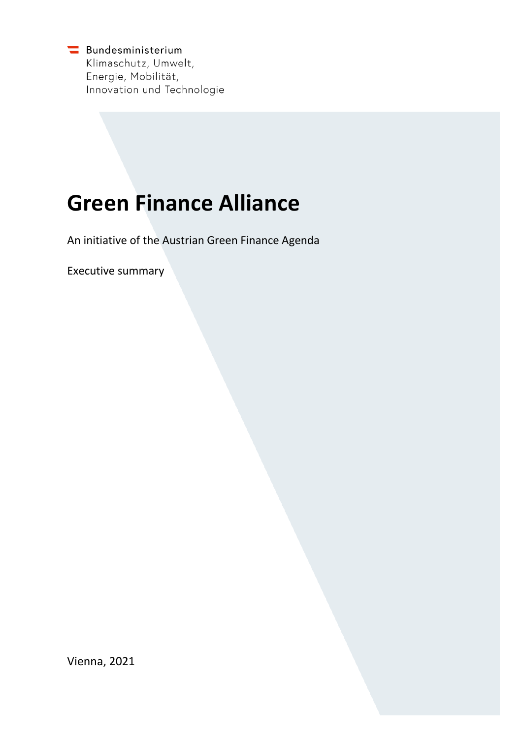Bundesministerium Klimaschutz, Umwelt, Energie, Mobilität, Innovation und Technologie

# **Green Finance Alliance**

An initiative of the Austrian Green Finance Agenda

Executive summary

Vienna, 2021

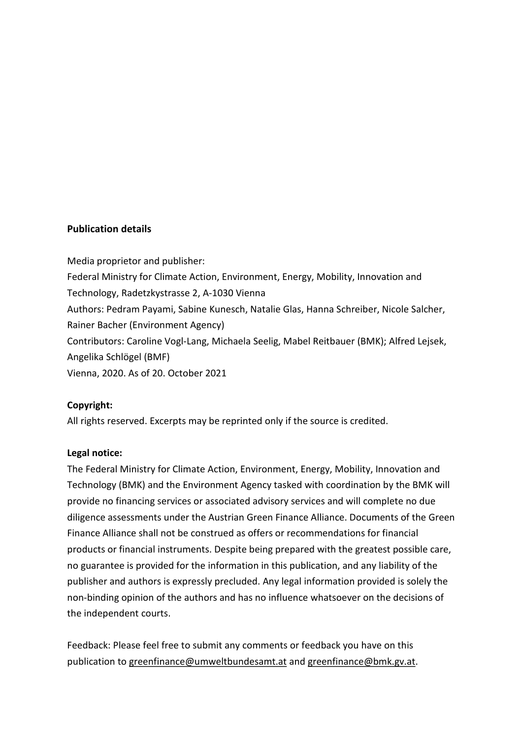### **Publication details**

Media proprietor and publisher: Federal Ministry for Climate Action, Environment, Energy, Mobility, Innovation and Technology, Radetzkystrasse 2, A-1030 Vienna Authors: Pedram Payami, Sabine Kunesch, Natalie Glas, Hanna Schreiber, Nicole Salcher, Rainer Bacher (Environment Agency) Contributors: Caroline Vogl-Lang, Michaela Seelig, Mabel Reitbauer (BMK); Alfred Lejsek, Angelika Schlögel (BMF) Vienna, 2020. As of 20. October 2021

### **Copyright:**

All rights reserved. Excerpts may be reprinted only if the source is credited.

### **Legal notice:**

The Federal Ministry for Climate Action, Environment, Energy, Mobility, Innovation and Technology (BMK) and the Environment Agency tasked with coordination by the BMK will provide no financing services or associated advisory services and will complete no due diligence assessments under the Austrian Green Finance Alliance. Documents of the Green Finance Alliance shall not be construed as offers or recommendations for financial products or financial instruments. Despite being prepared with the greatest possible care, no guarantee is provided for the information in this publication, and any liability of the publisher and authors is expressly precluded. Any legal information provided is solely the non-binding opinion of the authors and has no influence whatsoever on the decisions of the independent courts.

Feedback: Please feel free to submit any comments or feedback you have on this publication to [greenfinance@umweltbundesamt.at](mailto:greenfinance@umweltbundesamt.at) an[d greenfinance@bmk.gv.at.](mailto:greenfinance@bmk.gv.at)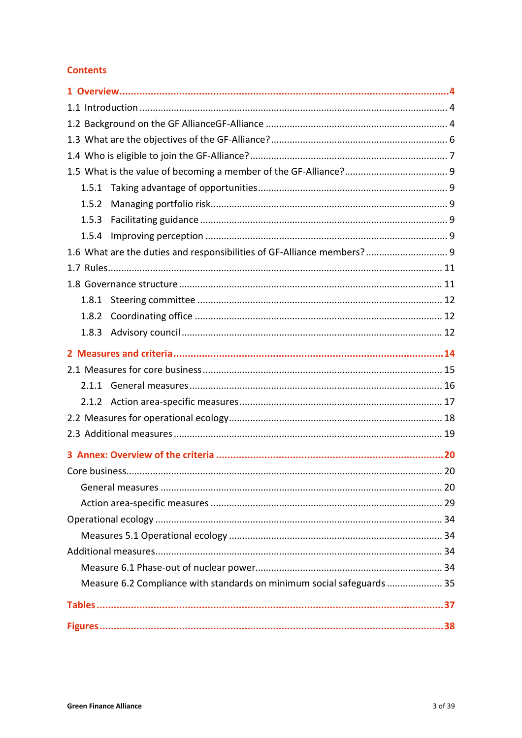### **Contents**

| 1.5.1                                                                  |  |
|------------------------------------------------------------------------|--|
| 1.5.2                                                                  |  |
| 1.5.3                                                                  |  |
| 1.5.4                                                                  |  |
| 1.6 What are the duties and responsibilities of GF-Alliance members? 9 |  |
|                                                                        |  |
|                                                                        |  |
|                                                                        |  |
| 1.8.2                                                                  |  |
| 1.8.3                                                                  |  |
|                                                                        |  |
|                                                                        |  |
|                                                                        |  |
|                                                                        |  |
|                                                                        |  |
|                                                                        |  |
|                                                                        |  |
|                                                                        |  |
|                                                                        |  |
|                                                                        |  |
|                                                                        |  |
|                                                                        |  |
|                                                                        |  |
|                                                                        |  |
| Measure 6.2 Compliance with standards on minimum social safeguards  35 |  |
|                                                                        |  |
|                                                                        |  |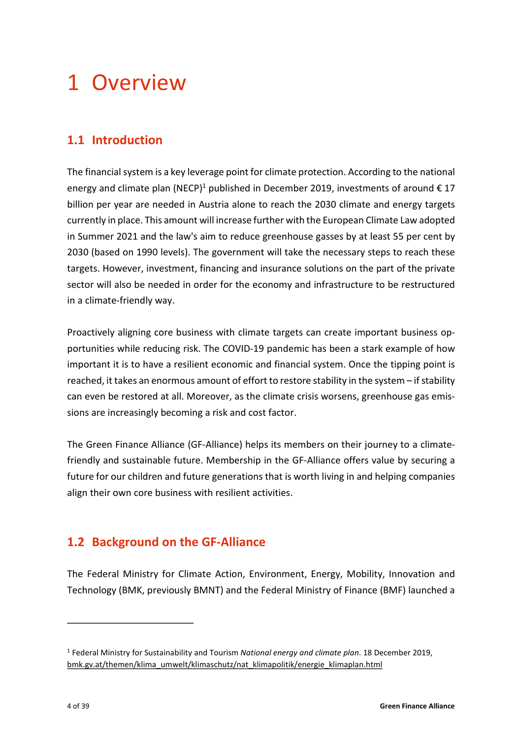# <span id="page-3-0"></span>1 Overview

# <span id="page-3-1"></span>**1.1 Introduction**

<span id="page-3-4"></span>The financial system is a key leverage point for climate protection. According to the national energy and climate plan (NECP)<sup>[1](#page-3-3)</sup> published in December 2019, investments of around  $\epsilon$  17 billion per year are needed in Austria alone to reach the 2030 climate and energy targets currently in place. This amount will increase further with the European Climate Law adopted in Summer 2021 and the law's aim to reduce greenhouse gasses by at least 55 per cent by 2030 (based on 1990 levels). The government will take the necessary steps to reach these targets. However, investment, financing and insurance solutions on the part of the private sector will also be needed in order for the economy and infrastructure to be restructured in a climate-friendly way.

Proactively aligning core business with climate targets can create important business opportunities while reducing risk. The COVID-19 pandemic has been a stark example of how important it is to have a resilient economic and financial system. Once the tipping point is reached, it takes an enormous amount of effort to restore stability in the system – if stability can even be restored at all. Moreover, as the climate crisis worsens, greenhouse gas emissions are increasingly becoming a risk and cost factor.

The Green Finance Alliance (GF-Alliance) helps its members on their journey to a climatefriendly and sustainable future. Membership in the GF-Alliance offers value by securing a future for our children and future generations that is worth living in and helping companies align their own core business with resilient activities.

# <span id="page-3-2"></span>**1.2 Background on the GF-Alliance**

 $\overline{a}$ 

The Federal Ministry for Climate Action, Environment, Energy, Mobility, Innovation and Technology (BMK, previously BMNT) and the Federal Ministry of Finance (BMF) launched a

<span id="page-3-3"></span>[<sup>1</sup>](#page-3-4) Federal Ministry for Sustainability and Tourism *National energy and climate plan*. 18 December 2019, [bmk.gv.at/themen/klima\\_umwelt/klimaschutz/nat\\_klimapolitik/energie\\_klimaplan.html](https://www.bmk.gv.at/themen/klima_umwelt/klimaschutz/nat_klimapolitik/energie_klimaplan.html)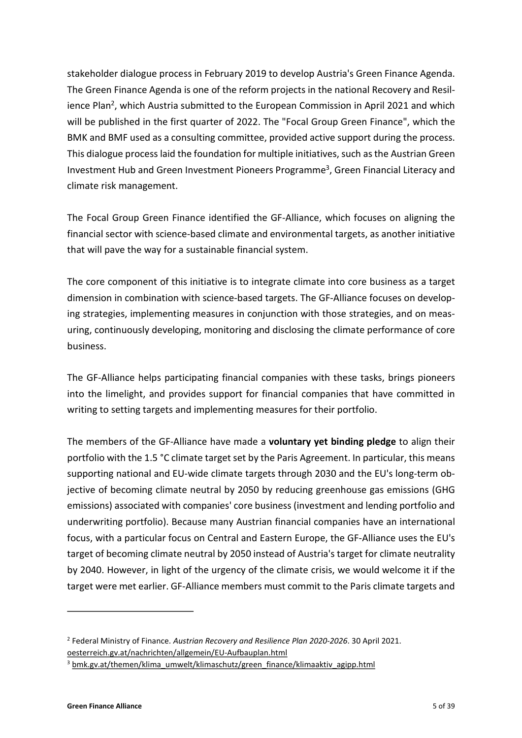<span id="page-4-2"></span>stakeholder dialogue process in February 2019 to develop Austria's Green Finance Agenda. The Green Finance Agenda is one of the reform projects in the national Recovery and Resil-ience Plan<sup>[2](#page-4-0)</sup>, which Austria submitted to the European Commission in April 2021 and which will be published in the first quarter of 2022. The "Focal Group Green Finance", which the BMK and BMF used as a consulting committee, provided active support during the process. This dialogue process laid the foundation for multiple initiatives, such as the Austrian Green Investment Hub and Green Investment Pioneers Programme<sup>[3](#page-4-1)</sup>, Green Financial Literacy and climate risk management.

<span id="page-4-3"></span>The Focal Group Green Finance identified the GF-Alliance, which focuses on aligning the financial sector with science-based climate and environmental targets, as another initiative that will pave the way for a sustainable financial system.

The core component of this initiative is to integrate climate into core business as a target dimension in combination with science-based targets. The GF-Alliance focuses on developing strategies, implementing measures in conjunction with those strategies, and on measuring, continuously developing, monitoring and disclosing the climate performance of core business.

The GF-Alliance helps participating financial companies with these tasks, brings pioneers into the limelight, and provides support for financial companies that have committed in writing to setting targets and implementing measures for their portfolio.

The members of the GF-Alliance have made a **voluntary yet binding pledge** to align their portfolio with the 1.5 °C climate target set by the Paris Agreement. In particular, this means supporting national and EU-wide climate targets through 2030 and the EU's long-term objective of becoming climate neutral by 2050 by reducing greenhouse gas emissions (GHG emissions) associated with companies' core business (investment and lending portfolio and underwriting portfolio). Because many Austrian financial companies have an international focus, with a particular focus on Central and Eastern Europe, the GF-Alliance uses the EU's target of becoming climate neutral by 2050 instead of Austria's target for climate neutrality by 2040. However, in light of the urgency of the climate crisis, we would welcome it if the target were met earlier. GF-Alliance members must commit to the Paris climate targets and

 $\overline{a}$ 

<span id="page-4-0"></span>[<sup>2</sup>](#page-4-2) Federal Ministry of Finance. *Austrian Recovery and Resilience Plan 2020-2026*. 30 April 2021. [oesterreich.gv.at/nachrichten/allgemein/EU-Aufbauplan.html](https://www.oesterreich.gv.at/nachrichten/allgemein/EU-Aufbauplan.html)

<span id="page-4-1"></span><sup>&</sup>lt;sup>[3](#page-4-3)</sup> [bmk.gv.at/themen/klima\\_umwelt/klimaschutz/green\\_finance/klimaaktiv\\_agipp.html](https://www.bmk.gv.at/themen/klima_umwelt/klimaschutz/green_finance/klimaaktiv_agipp.html)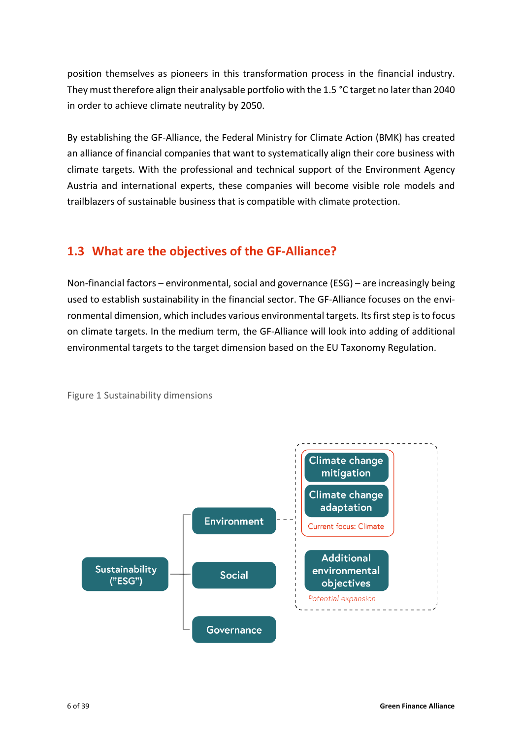position themselves as pioneers in this transformation process in the financial industry. They must therefore align their analysable portfolio with the 1.5 °C target no later than 2040 in order to achieve climate neutrality by 2050.

By establishing the GF-Alliance, the Federal Ministry for Climate Action (BMK) has created an alliance of financial companies that want to systematically align their core business with climate targets. With the professional and technical support of the Environment Agency Austria and international experts, these companies will become visible role models and trailblazers of sustainable business that is compatible with climate protection.

# <span id="page-5-0"></span>**1.3 What are the objectives of the GF-Alliance?**

Non-financial factors – environmental, social and governance (ESG) – are increasingly being used to establish sustainability in the financial sector. The GF-Alliance focuses on the environmental dimension, which includes various environmental targets. Its first step is to focus on climate targets. In the medium term, the GF-Alliance will look into adding of additional environmental targets to the target dimension based on the EU Taxonomy Regulation.



<span id="page-5-1"></span>Figure 1 Sustainability dimensions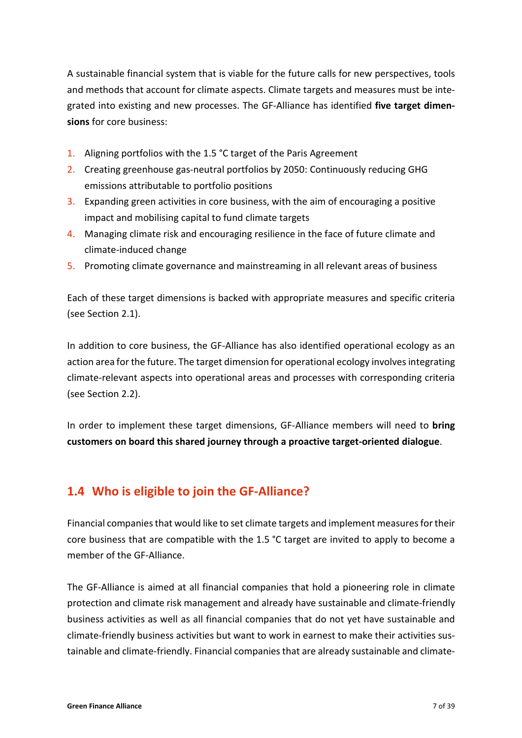A sustainable financial system that is viable for the future calls for new perspectives, tools and methods that account for climate aspects. Climate targets and measures must be integrated into existing and new processes. The GF-Alliance has identified **five target dimensions** for core business:

- 1. Aligning portfolios with the 1.5 °C target of the Paris Agreement
- 2. Creating greenhouse gas-neutral portfolios by 2050: Continuously reducing GHG emissions attributable to portfolio positions
- 3. Expanding green activities in core business, with the aim of encouraging a positive impact and mobilising capital to fund climate targets
- 4. Managing climate risk and encouraging resilience in the face of future climate and climate-induced change
- 5. Promoting climate governance and mainstreaming in all relevant areas of business

Each of these target dimensions is backed with appropriate measures and specific criteria (see Section [2.1\)](#page-14-0).

In addition to core business, the GF-Alliance has also identified operational ecology as an action area for the future. The target dimension for operational ecology involves integrating climate-relevant aspects into operational areas and processes with corresponding criteria (see Section [2.2\)](#page-17-0).

In order to implement these target dimensions, GF-Alliance members will need to **bring customers on board this shared journey through a proactive target-oriented dialogue**.

# <span id="page-6-0"></span>**1.4 Who is eligible to join the GF-Alliance?**

Financial companiesthat would like to set climate targets and implement measures for their core business that are compatible with the 1.5 °C target are invited to apply to become a member of the GF-Alliance.

The GF-Alliance is aimed at all financial companies that hold a pioneering role in climate protection and climate risk management and already have sustainable and climate-friendly business activities as well as all financial companies that do not yet have sustainable and climate-friendly business activities but want to work in earnest to make their activities sustainable and climate-friendly. Financial companiesthat are already sustainable and climate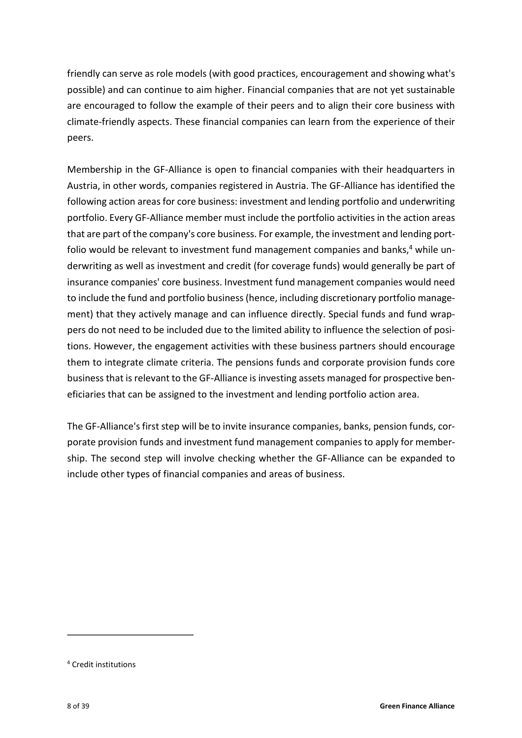friendly can serve as role models (with good practices, encouragement and showing what's possible) and can continue to aim higher. Financial companies that are not yet sustainable are encouraged to follow the example of their peers and to align their core business with climate-friendly aspects. These financial companies can learn from the experience of their peers.

<span id="page-7-1"></span>Membership in the GF-Alliance is open to financial companies with their headquarters in Austria, in other words, companies registered in Austria. The GF-Alliance has identified the following action areas for core business: investment and lending portfolio and underwriting portfolio. Every GF-Alliance member must include the portfolio activities in the action areas that are part of the company's core business. For example, the investment and lending port-folio would be relevant to investment fund management companies and banks,<sup>[4](#page-7-0)</sup> while underwriting as well as investment and credit (for coverage funds) would generally be part of insurance companies' core business. Investment fund management companies would need to include the fund and portfolio business(hence, including discretionary portfolio management) that they actively manage and can influence directly. Special funds and fund wrappers do not need to be included due to the limited ability to influence the selection of positions. However, the engagement activities with these business partners should encourage them to integrate climate criteria. The pensions funds and corporate provision funds core business that is relevant to the GF-Alliance is investing assets managed for prospective beneficiaries that can be assigned to the investment and lending portfolio action area.

The GF-Alliance's first step will be to invite insurance companies, banks, pension funds, corporate provision funds and investment fund management companies to apply for membership. The second step will involve checking whether the GF-Alliance can be expanded to include other types of financial companies and areas of business.

 $\overline{a}$ 

<span id="page-7-0"></span>[<sup>4</sup>](#page-7-1) Credit institutions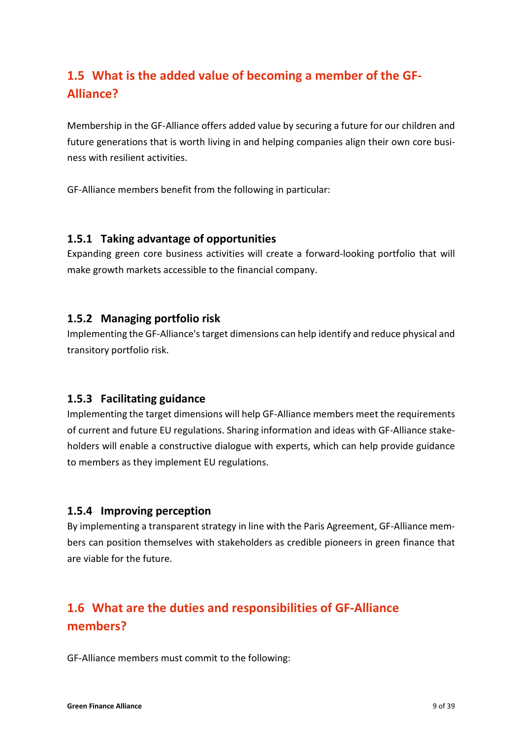# <span id="page-8-0"></span>**1.5 What is the added value of becoming a member of the GF-Alliance?**

Membership in the GF-Alliance offers added value by securing a future for our children and future generations that is worth living in and helping companies align their own core business with resilient activities.

GF-Alliance members benefit from the following in particular:

### <span id="page-8-1"></span>**1.5.1 Taking advantage of opportunities**

Expanding green core business activities will create a forward-looking portfolio that will make growth markets accessible to the financial company.

### <span id="page-8-2"></span>**1.5.2 Managing portfolio risk**

Implementing the GF-Alliance's target dimensions can help identify and reduce physical and transitory portfolio risk.

### <span id="page-8-3"></span>**1.5.3 Facilitating guidance**

Implementing the target dimensions will help GF-Alliance members meet the requirements of current and future EU regulations. Sharing information and ideas with GF-Alliance stakeholders will enable a constructive dialogue with experts, which can help provide guidance to members as they implement EU regulations.

### <span id="page-8-4"></span>**1.5.4 Improving perception**

By implementing a transparent strategy in line with the Paris Agreement, GF-Alliance members can position themselves with stakeholders as credible pioneers in green finance that are viable for the future.

# <span id="page-8-5"></span>**1.6 What are the duties and responsibilities of GF-Alliance members?**

GF-Alliance members must commit to the following: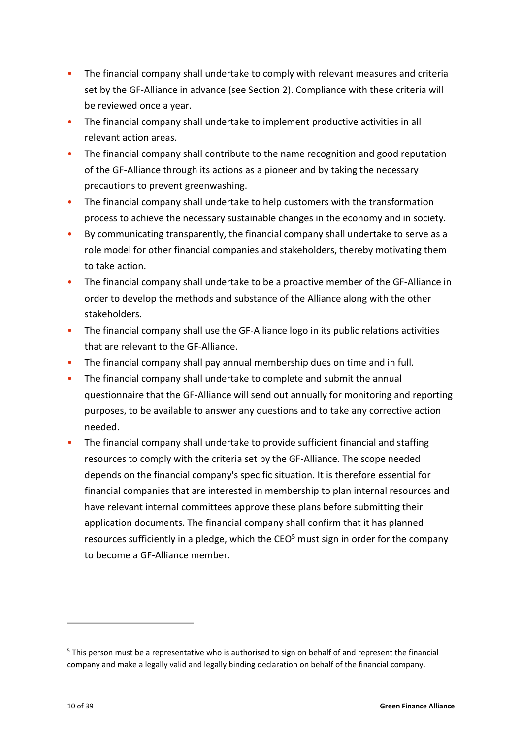- The financial company shall undertake to comply with relevant measures and criteria set by the GF-Alliance in advance (see Sectio[n 2\)](#page-13-0). Compliance with these criteria will be reviewed once a year.
- The financial company shall undertake to implement productive activities in all relevant action areas.
- The financial company shall contribute to the name recognition and good reputation of the GF-Alliance through its actions as a pioneer and by taking the necessary precautions to prevent greenwashing.
- The financial company shall undertake to help customers with the transformation process to achieve the necessary sustainable changes in the economy and in society.
- By communicating transparently, the financial company shall undertake to serve as a role model for other financial companies and stakeholders, thereby motivating them to take action.
- The financial company shall undertake to be a proactive member of the GF-Alliance in order to develop the methods and substance of the Alliance along with the other stakeholders.
- The financial company shall use the GF-Alliance logo in its public relations activities that are relevant to the GF-Alliance.
- The financial company shall pay annual membership dues on time and in full.
- The financial company shall undertake to complete and submit the annual questionnaire that the GF-Alliance will send out annually for monitoring and reporting purposes, to be available to answer any questions and to take any corrective action needed.
- The financial company shall undertake to provide sufficient financial and staffing resources to comply with the criteria set by the GF-Alliance. The scope needed depends on the financial company's specific situation. It is therefore essential for financial companies that are interested in membership to plan internal resources and have relevant internal committees approve these plans before submitting their application documents. The financial company shall confirm that it has planned resources sufficiently in a pledge, which the  $CEO<sup>5</sup>$  $CEO<sup>5</sup>$  $CEO<sup>5</sup>$  must sign in order for the company to become a GF-Alliance member.

<span id="page-9-1"></span> $\overline{a}$ 

<span id="page-9-0"></span><sup>&</sup>lt;sup>[5](#page-9-1)</sup> This person must be a representative who is authorised to sign on behalf of and represent the financial company and make a legally valid and legally binding declaration on behalf of the financial company.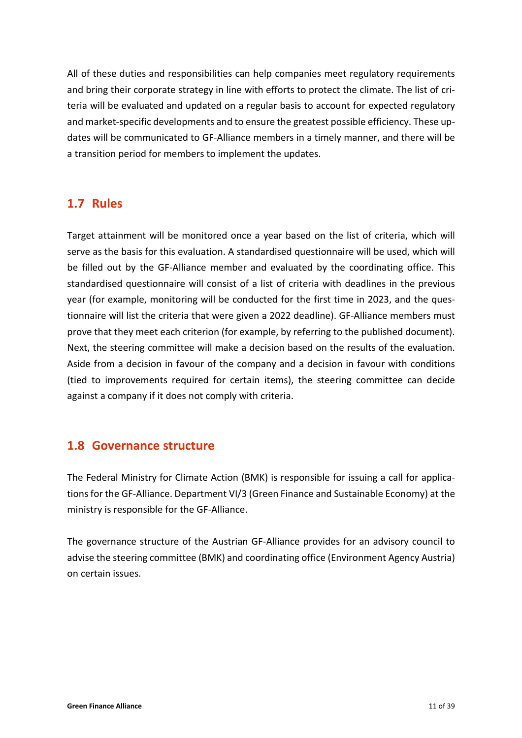All of these duties and responsibilities can help companies meet regulatory requirements and bring their corporate strategy in line with efforts to protect the climate. The list of criteria will be evaluated and updated on a regular basis to account for expected regulatory and market-specific developments and to ensure the greatest possible efficiency. These updates will be communicated to GF-Alliance members in a timely manner, and there will be a transition period for members to implement the updates.

## <span id="page-10-0"></span>**1.7 Rules**

Target attainment will be monitored once a year based on the list of criteria, which will serve as the basis for this evaluation. A standardised questionnaire will be used, which will be filled out by the GF-Alliance member and evaluated by the coordinating office. This standardised questionnaire will consist of a list of criteria with deadlines in the previous year (for example, monitoring will be conducted for the first time in 2023, and the questionnaire will list the criteria that were given a 2022 deadline). GF-Alliance members must prove that they meet each criterion (for example, by referring to the published document). Next, the steering committee will make a decision based on the results of the evaluation. Aside from a decision in favour of the company and a decision in favour with conditions (tied to improvements required for certain items), the steering committee can decide against a company if it does not comply with criteria.

# <span id="page-10-1"></span>**1.8 Governance structure**

The Federal Ministry for Climate Action (BMK) is responsible for issuing a call for applications for the GF-Alliance. Department VI/3 (Green Finance and Sustainable Economy) at the ministry is responsible for the GF-Alliance.

<span id="page-10-2"></span>The governance structure of the Austrian GF-Alliance provides for an advisory council to advise the steering committee (BMK) and coordinating office (Environment Agency Austria) on certain issues.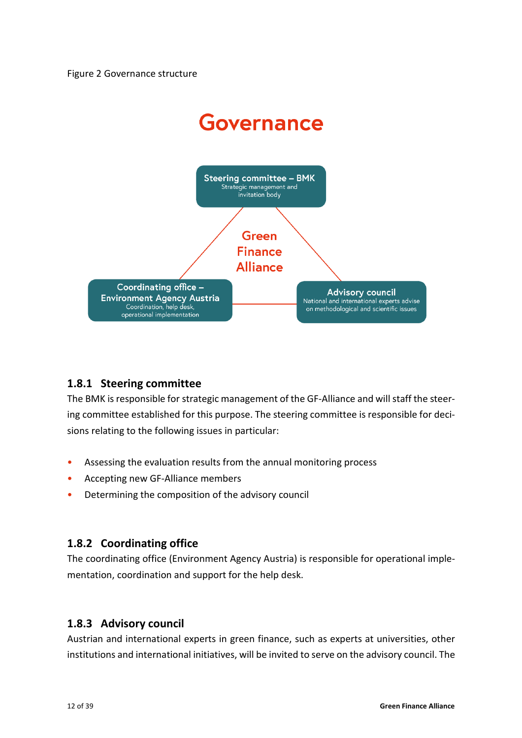

### <span id="page-11-0"></span>**1.8.1 Steering committee**

The BMK is responsible for strategic management of the GF-Alliance and will staff the steering committee established for this purpose. The steering committee is responsible for decisions relating to the following issues in particular:

- Assessing the evaluation results from the annual monitoring process
- Accepting new GF-Alliance members
- <span id="page-11-1"></span>• Determining the composition of the advisory council

### **1.8.2 Coordinating office**

The coordinating office (Environment Agency Austria) is responsible for operational implementation, coordination and support for the help desk.

### <span id="page-11-2"></span>**1.8.3 Advisory council**

Austrian and international experts in green finance, such as experts at universities, other institutions and international initiatives, will be invited to serve on the advisory council. The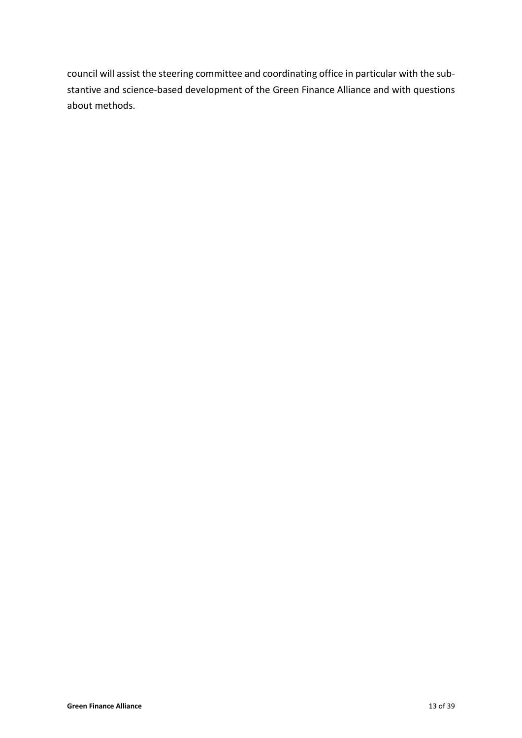council will assist the steering committee and coordinating office in particular with the substantive and science-based development of the Green Finance Alliance and with questions about methods.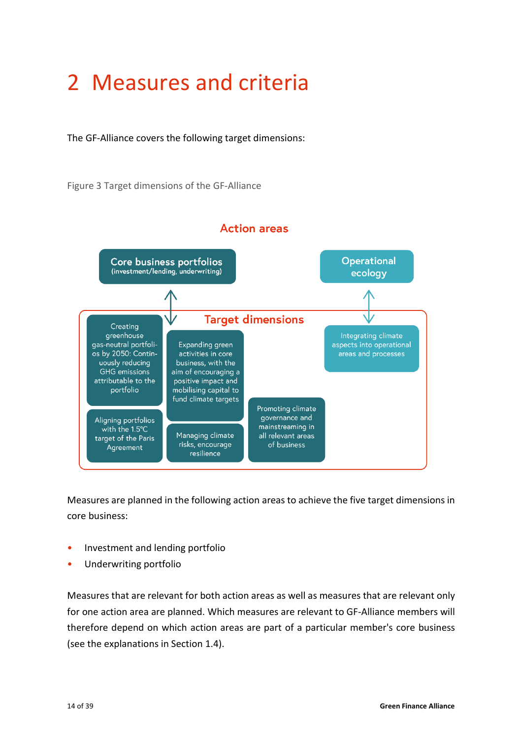# <span id="page-13-0"></span>2 Measures and criteria

The GF-Alliance covers the following target dimensions:

<span id="page-13-1"></span>Figure 3 Target dimensions of the GF-Alliance



Measures are planned in the following action areas to achieve the five target dimensions in core business:

- Investment and lending portfolio
- Underwriting portfolio

Measures that are relevant for both action areas as well as measures that are relevant only for one action area are planned. Which measures are relevant to GF-Alliance members will therefore depend on which action areas are part of a particular member's core business (see the explanations in Section [1.4\)](#page-6-0).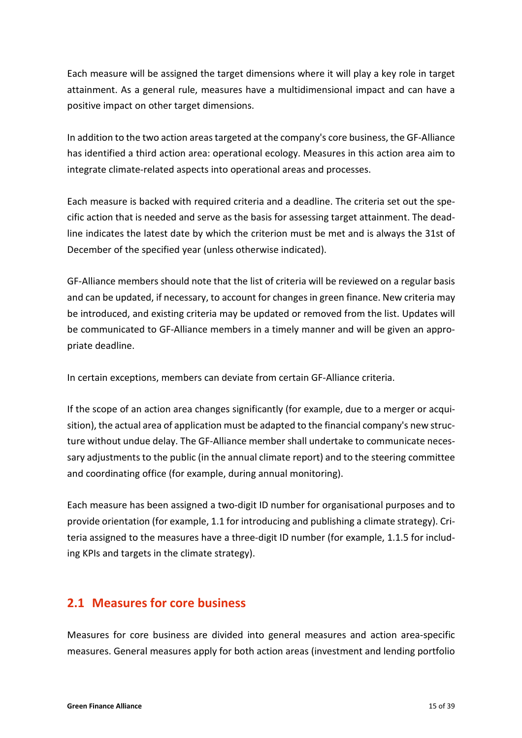Each measure will be assigned the target dimensions where it will play a key role in target attainment. As a general rule, measures have a multidimensional impact and can have a positive impact on other target dimensions.

In addition to the two action areas targeted at the company's core business, the GF-Alliance has identified a third action area: operational ecology. Measures in this action area aim to integrate climate-related aspects into operational areas and processes.

Each measure is backed with required criteria and a deadline. The criteria set out the specific action that is needed and serve as the basis for assessing target attainment. The deadline indicates the latest date by which the criterion must be met and is always the 31st of December of the specified year (unless otherwise indicated).

GF-Alliance members should note that the list of criteria will be reviewed on a regular basis and can be updated, if necessary, to account for changes in green finance. New criteria may be introduced, and existing criteria may be updated or removed from the list. Updates will be communicated to GF-Alliance members in a timely manner and will be given an appropriate deadline.

In certain exceptions, members can deviate from certain GF-Alliance criteria.

If the scope of an action area changes significantly (for example, due to a merger or acquisition), the actual area of application must be adapted to the financial company's new structure without undue delay. The GF-Alliance member shall undertake to communicate necessary adjustments to the public (in the annual climate report) and to the steering committee and coordinating office (for example, during annual monitoring).

Each measure has been assigned a two-digit ID number for organisational purposes and to provide orientation (for example, 1.1 for introducing and publishing a climate strategy). Criteria assigned to the measures have a three-digit ID number (for example, 1.1.5 for including KPIs and targets in the climate strategy).

## <span id="page-14-0"></span>**2.1 Measures for core business**

Measures for core business are divided into general measures and action area-specific measures. General measures apply for both action areas (investment and lending portfolio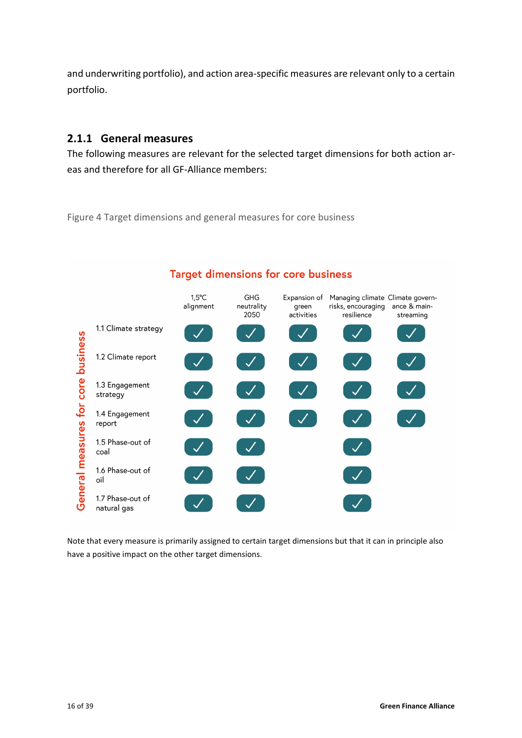and underwriting portfolio), and action area-specific measures are relevant only to a certain portfolio.

### <span id="page-15-0"></span>**2.1.1 General measures**

The following measures are relevant for the selected target dimensions for both action areas and therefore for all GF-Alliance members:

<span id="page-15-1"></span>Figure 4 Target dimensions and general measures for core business



## **Target dimensions for core business**

Note that every measure is primarily assigned to certain target dimensions but that it can in principle also have a positive impact on the other target dimensions.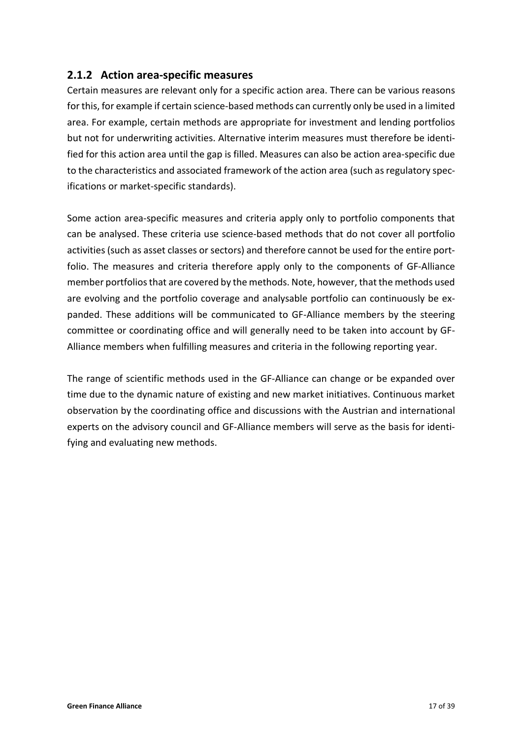### <span id="page-16-0"></span>**2.1.2 Action area-specific measures**

Certain measures are relevant only for a specific action area. There can be various reasons for this, for example if certain science-based methods can currently only be used in a limited area. For example, certain methods are appropriate for investment and lending portfolios but not for underwriting activities. Alternative interim measures must therefore be identified for this action area until the gap is filled. Measures can also be action area-specific due to the characteristics and associated framework of the action area (such as regulatory specifications or market-specific standards).

Some action area-specific measures and criteria apply only to portfolio components that can be analysed. These criteria use science-based methods that do not cover all portfolio activities (such as asset classes or sectors) and therefore cannot be used for the entire portfolio. The measures and criteria therefore apply only to the components of GF-Alliance member portfolios that are covered by the methods. Note, however, that the methods used are evolving and the portfolio coverage and analysable portfolio can continuously be expanded. These additions will be communicated to GF-Alliance members by the steering committee or coordinating office and will generally need to be taken into account by GF-Alliance members when fulfilling measures and criteria in the following reporting year.

The range of scientific methods used in the GF-Alliance can change or be expanded over time due to the dynamic nature of existing and new market initiatives. Continuous market observation by the coordinating office and discussions with the Austrian and international experts on the advisory council and GF-Alliance members will serve as the basis for identifying and evaluating new methods.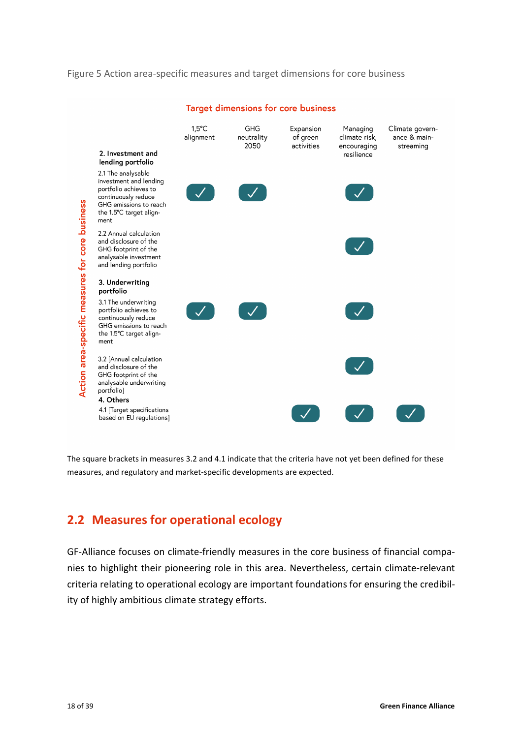#### <span id="page-17-1"></span>Figure 5 Action area-specific measures and target dimensions for core business



#### **Target dimensions for core business**

The square brackets in measures 3.2 and 4.1 indicate that the criteria have not yet been defined for these measures, and regulatory and market-specific developments are expected.

## <span id="page-17-0"></span>**2.2 Measures for operational ecology**

GF-Alliance focuses on climate-friendly measures in the core business of financial companies to highlight their pioneering role in this area. Nevertheless, certain climate-relevant criteria relating to operational ecology are important foundations for ensuring the credibility of highly ambitious climate strategy efforts.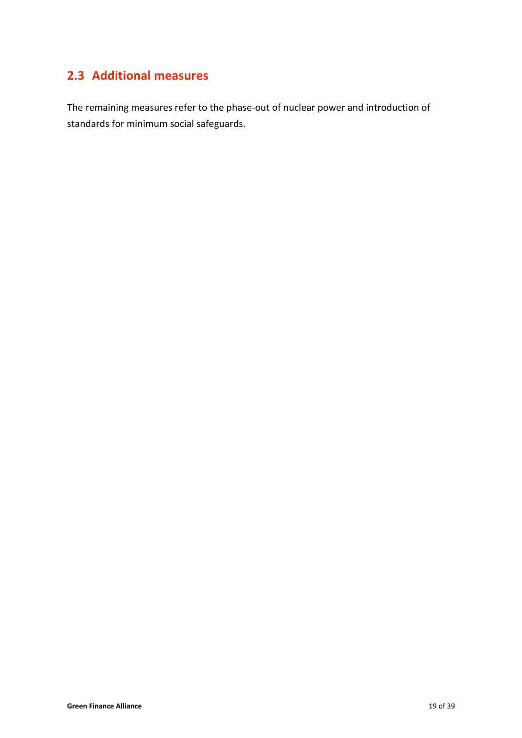# <span id="page-18-0"></span>**2.3 Additional measures**

The remaining measures refer to the phase-out of nuclear power and introduction of standards for minimum social safeguards.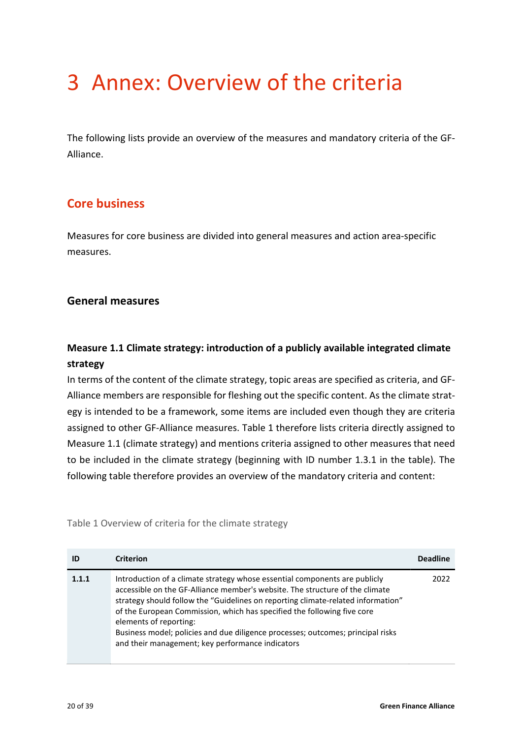# <span id="page-19-0"></span>3 Annex: Overview of the criteria

The following lists provide an overview of the measures and mandatory criteria of the GF-Alliance.

# <span id="page-19-1"></span>**Core business**

Measures for core business are divided into general measures and action area-specific measures.

### <span id="page-19-2"></span>**General measures**

## **Measure 1.1 Climate strategy: introduction of a publicly available integrated climate strategy**

In terms of the content of the climate strategy, topic areas are specified as criteria, and GF-Alliance members are responsible for fleshing out the specific content. As the climate strategy is intended to be a framework, some items are included even though they are criteria assigned to other GF-Alliance measures. [Table 1](#page-19-3) therefore lists criteria directly assigned to Measure 1.1 (climate strategy) and mentions criteria assigned to other measures that need to be included in the climate strategy (beginning with ID number 1.3.1 in the table). The following table therefore provides an overview of the mandatory criteria and content:

<span id="page-19-3"></span>Table 1 Overview of criteria for the climate strategy

| ID    | <b>Criterion</b>                                                                                                                                                                                                                                                                                                                                                                                                                                                                           | <b>Deadline</b> |
|-------|--------------------------------------------------------------------------------------------------------------------------------------------------------------------------------------------------------------------------------------------------------------------------------------------------------------------------------------------------------------------------------------------------------------------------------------------------------------------------------------------|-----------------|
| 1.1.1 | Introduction of a climate strategy whose essential components are publicly<br>accessible on the GF-Alliance member's website. The structure of the climate<br>strategy should follow the "Guidelines on reporting climate-related information"<br>of the European Commission, which has specified the following five core<br>elements of reporting:<br>Business model; policies and due diligence processes; outcomes; principal risks<br>and their management; key performance indicators | 2022            |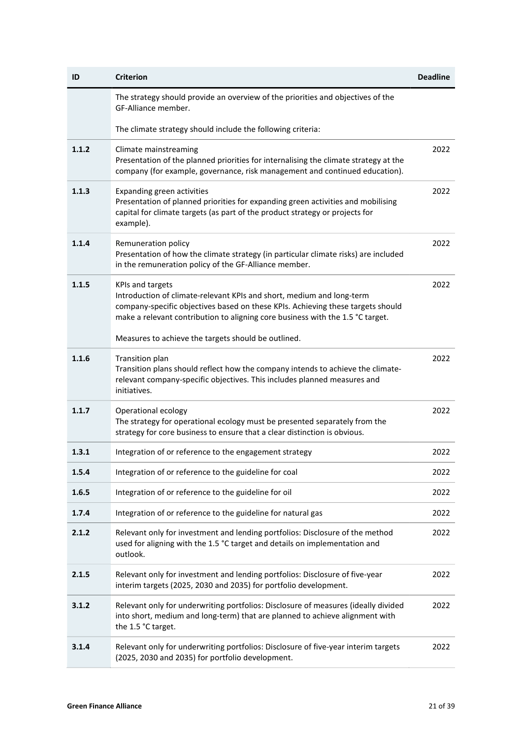| ID      | <b>Criterion</b>                                                                                                                                                                                                                                                      | <b>Deadline</b> |
|---------|-----------------------------------------------------------------------------------------------------------------------------------------------------------------------------------------------------------------------------------------------------------------------|-----------------|
|         | The strategy should provide an overview of the priorities and objectives of the<br>GF-Alliance member.                                                                                                                                                                |                 |
|         | The climate strategy should include the following criteria:                                                                                                                                                                                                           |                 |
| 1.1.2   | Climate mainstreaming<br>Presentation of the planned priorities for internalising the climate strategy at the<br>company (for example, governance, risk management and continued education).                                                                          | 2022            |
| 1.1.3   | Expanding green activities<br>Presentation of planned priorities for expanding green activities and mobilising<br>capital for climate targets (as part of the product strategy or projects for<br>example).                                                           | 2022            |
| 1.1.4   | Remuneration policy<br>Presentation of how the climate strategy (in particular climate risks) are included<br>in the remuneration policy of the GF-Alliance member.                                                                                                   | 2022            |
| 1.1.5   | <b>KPIs and targets</b><br>Introduction of climate-relevant KPIs and short, medium and long-term<br>company-specific objectives based on these KPIs. Achieving these targets should<br>make a relevant contribution to aligning core business with the 1.5 °C target. | 2022            |
|         | Measures to achieve the targets should be outlined.                                                                                                                                                                                                                   |                 |
| 1.1.6   | Transition plan<br>Transition plans should reflect how the company intends to achieve the climate-<br>relevant company-specific objectives. This includes planned measures and<br>initiatives.                                                                        | 2022            |
| 1.1.7   | Operational ecology<br>The strategy for operational ecology must be presented separately from the<br>strategy for core business to ensure that a clear distinction is obvious.                                                                                        | 2022            |
| 1, 3, 1 | Integration of or reference to the engagement strategy                                                                                                                                                                                                                | 2022            |
| 1.5.4   | Integration of or reference to the guideline for coal                                                                                                                                                                                                                 | 2022            |
| 1.6.5   | Integration of or reference to the guideline for oil                                                                                                                                                                                                                  | 2022            |
| 1.7.4   | Integration of or reference to the guideline for natural gas                                                                                                                                                                                                          | 2022            |
| 2.1.2   | Relevant only for investment and lending portfolios: Disclosure of the method<br>used for aligning with the 1.5 °C target and details on implementation and<br>outlook.                                                                                               | 2022            |
| 2.1.5   | Relevant only for investment and lending portfolios: Disclosure of five-year<br>interim targets (2025, 2030 and 2035) for portfolio development.                                                                                                                      | 2022            |
| 3.1.2   | Relevant only for underwriting portfolios: Disclosure of measures (ideally divided<br>into short, medium and long-term) that are planned to achieve alignment with<br>the 1.5 °C target.                                                                              | 2022            |
| 3.1.4   | Relevant only for underwriting portfolios: Disclosure of five-year interim targets<br>(2025, 2030 and 2035) for portfolio development.                                                                                                                                | 2022            |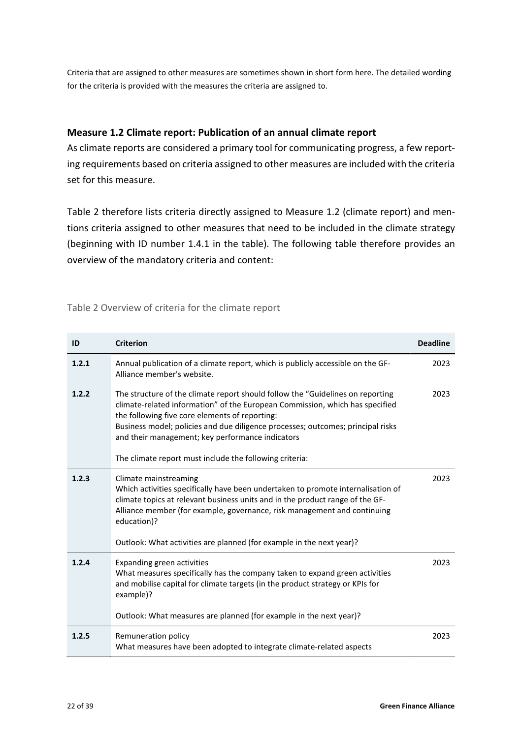Criteria that are assigned to other measures are sometimes shown in short form here. The detailed wording for the criteria is provided with the measures the criteria are assigned to.

### **Measure 1.2 Climate report: Publication of an annual climate report**

As climate reports are considered a primary tool for communicating progress, a few reporting requirements based on criteria assigned to other measures are included with the criteria set for this measure.

[Table](#page-21-0) 2 therefore lists criteria directly assigned to Measure 1.2 (climate report) and mentions criteria assigned to other measures that need to be included in the climate strategy (beginning with ID number 1.4.1 in the table). The following table therefore provides an overview of the mandatory criteria and content:

<span id="page-21-1"></span><span id="page-21-0"></span>

|  | Table 2 Overview of criteria for the climate report |  |  |  |  |  |
|--|-----------------------------------------------------|--|--|--|--|--|
|--|-----------------------------------------------------|--|--|--|--|--|

| ID    | <b>Criterion</b>                                                                                                                                                                                                                                                                                                                                                                                                   | <b>Deadline</b> |
|-------|--------------------------------------------------------------------------------------------------------------------------------------------------------------------------------------------------------------------------------------------------------------------------------------------------------------------------------------------------------------------------------------------------------------------|-----------------|
| 1.2.1 | Annual publication of a climate report, which is publicly accessible on the GF-<br>Alliance member's website.                                                                                                                                                                                                                                                                                                      | 2023            |
| 1.2.2 | The structure of the climate report should follow the "Guidelines on reporting<br>climate-related information" of the European Commission, which has specified<br>the following five core elements of reporting:<br>Business model; policies and due diligence processes; outcomes; principal risks<br>and their management; key performance indicators<br>The climate report must include the following criteria: | 2023            |
| 1.2.3 | Climate mainstreaming<br>Which activities specifically have been undertaken to promote internalisation of<br>climate topics at relevant business units and in the product range of the GF-<br>Alliance member (for example, governance, risk management and continuing<br>education)?<br>Outlook: What activities are planned (for example in the next year)?                                                      | 2023            |
| 1.2.4 | Expanding green activities<br>What measures specifically has the company taken to expand green activities<br>and mobilise capital for climate targets (in the product strategy or KPIs for<br>example)?<br>Outlook: What measures are planned (for example in the next year)?                                                                                                                                      | 2023            |
| 1.2.5 | Remuneration policy<br>What measures have been adopted to integrate climate-related aspects                                                                                                                                                                                                                                                                                                                        | 2023            |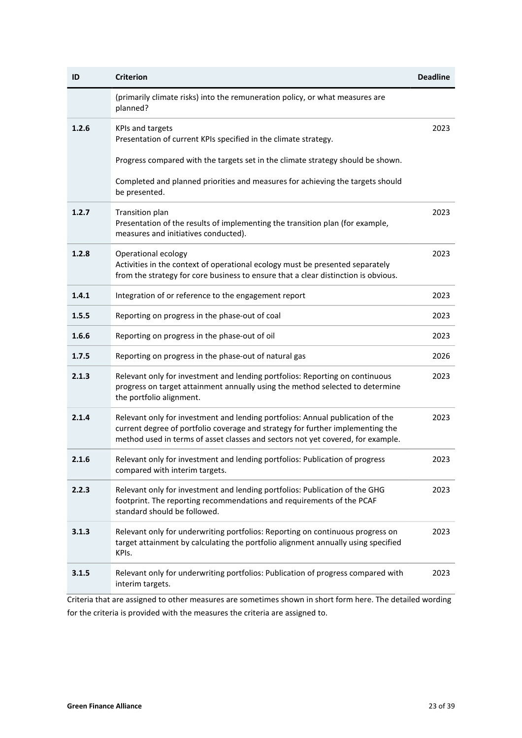| ID    | <b>Criterion</b>                                                                                                                                                                                                                                    | <b>Deadline</b> |
|-------|-----------------------------------------------------------------------------------------------------------------------------------------------------------------------------------------------------------------------------------------------------|-----------------|
|       | (primarily climate risks) into the remuneration policy, or what measures are<br>planned?                                                                                                                                                            |                 |
| 1.2.6 | <b>KPIs and targets</b><br>Presentation of current KPIs specified in the climate strategy.                                                                                                                                                          | 2023            |
|       | Progress compared with the targets set in the climate strategy should be shown.                                                                                                                                                                     |                 |
|       | Completed and planned priorities and measures for achieving the targets should<br>be presented.                                                                                                                                                     |                 |
| 1.2.7 | Transition plan<br>Presentation of the results of implementing the transition plan (for example,<br>measures and initiatives conducted).                                                                                                            | 2023            |
| 1.2.8 | Operational ecology<br>Activities in the context of operational ecology must be presented separately<br>from the strategy for core business to ensure that a clear distinction is obvious.                                                          | 2023            |
| 1.4.1 | Integration of or reference to the engagement report                                                                                                                                                                                                | 2023            |
| 1.5.5 | Reporting on progress in the phase-out of coal                                                                                                                                                                                                      | 2023            |
| 1.6.6 | Reporting on progress in the phase-out of oil                                                                                                                                                                                                       | 2023            |
| 1.7.5 | Reporting on progress in the phase-out of natural gas                                                                                                                                                                                               | 2026            |
| 2.1.3 | Relevant only for investment and lending portfolios: Reporting on continuous<br>progress on target attainment annually using the method selected to determine<br>the portfolio alignment.                                                           | 2023            |
| 2.1.4 | Relevant only for investment and lending portfolios: Annual publication of the<br>current degree of portfolio coverage and strategy for further implementing the<br>method used in terms of asset classes and sectors not yet covered, for example. | 2023            |
| 2.1.6 | Relevant only for investment and lending portfolios: Publication of progress<br>compared with interim targets.                                                                                                                                      | 2023            |
| 2.2.3 | Relevant only for investment and lending portfolios: Publication of the GHG<br>footprint. The reporting recommendations and requirements of the PCAF<br>standard should be followed.                                                                | 2023            |
| 3.1.3 | Relevant only for underwriting portfolios: Reporting on continuous progress on<br>target attainment by calculating the portfolio alignment annually using specified<br>KPIs.                                                                        | 2023            |
| 3.1.5 | Relevant only for underwriting portfolios: Publication of progress compared with<br>interim targets.                                                                                                                                                | 2023            |

Criteria that are assigned to other measures are sometimes shown in short form here. The detailed wording for the criteria is provided with the measures the criteria are assigned to.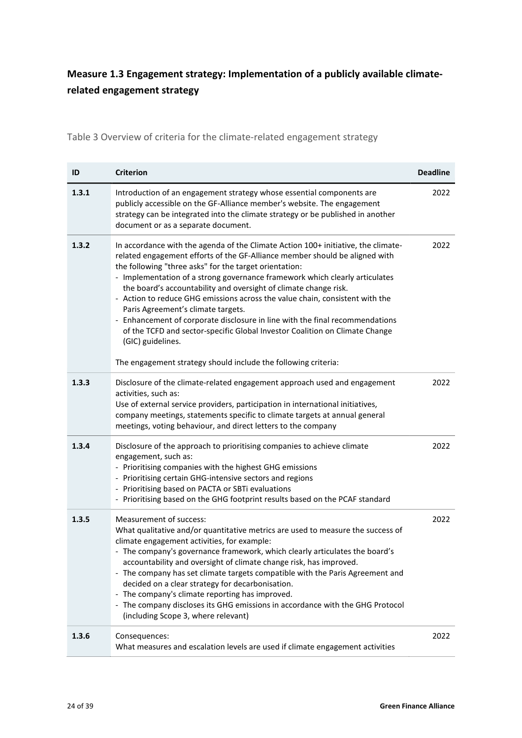# <span id="page-23-0"></span>**Measure 1.3 Engagement strategy: Implementation of a publicly available climaterelated engagement strategy**

Table 3 Overview of criteria for the climate-related engagement strategy

| ID    | <b>Criterion</b>                                                                                                                                                                                                                                                                                                                                                                                                                                                                                                                                                                                                                                                                        | <b>Deadline</b> |
|-------|-----------------------------------------------------------------------------------------------------------------------------------------------------------------------------------------------------------------------------------------------------------------------------------------------------------------------------------------------------------------------------------------------------------------------------------------------------------------------------------------------------------------------------------------------------------------------------------------------------------------------------------------------------------------------------------------|-----------------|
| 1.3.1 | Introduction of an engagement strategy whose essential components are<br>publicly accessible on the GF-Alliance member's website. The engagement<br>strategy can be integrated into the climate strategy or be published in another<br>document or as a separate document.                                                                                                                                                                                                                                                                                                                                                                                                              | 2022            |
| 1.3.2 | In accordance with the agenda of the Climate Action 100+ initiative, the climate-<br>related engagement efforts of the GF-Alliance member should be aligned with<br>the following "three asks" for the target orientation:<br>- Implementation of a strong governance framework which clearly articulates<br>the board's accountability and oversight of climate change risk.<br>- Action to reduce GHG emissions across the value chain, consistent with the<br>Paris Agreement's climate targets.<br>- Enhancement of corporate disclosure in line with the final recommendations<br>of the TCFD and sector-specific Global Investor Coalition on Climate Change<br>(GIC) guidelines. | 2022            |
|       | The engagement strategy should include the following criteria:                                                                                                                                                                                                                                                                                                                                                                                                                                                                                                                                                                                                                          |                 |
| 1.3.3 | Disclosure of the climate-related engagement approach used and engagement<br>activities, such as:<br>Use of external service providers, participation in international initiatives,<br>company meetings, statements specific to climate targets at annual general<br>meetings, voting behaviour, and direct letters to the company                                                                                                                                                                                                                                                                                                                                                      | 2022            |
| 1.3.4 | Disclosure of the approach to prioritising companies to achieve climate<br>engagement, such as:<br>- Prioritising companies with the highest GHG emissions<br>- Prioritising certain GHG-intensive sectors and regions<br>- Prioritising based on PACTA or SBTi evaluations<br>- Prioritising based on the GHG footprint results based on the PCAF standard                                                                                                                                                                                                                                                                                                                             | 2022            |
| 1.3.5 | Measurement of success:<br>What qualitative and/or quantitative metrics are used to measure the success of<br>climate engagement activities, for example:<br>- The company's governance framework, which clearly articulates the board's<br>accountability and oversight of climate change risk, has improved.<br>- The company has set climate targets compatible with the Paris Agreement and<br>decided on a clear strategy for decarbonisation.<br>- The company's climate reporting has improved.<br>- The company discloses its GHG emissions in accordance with the GHG Protocol<br>(including Scope 3, where relevant)                                                          | 2022            |
| 1.3.6 | Consequences:<br>What measures and escalation levels are used if climate engagement activities                                                                                                                                                                                                                                                                                                                                                                                                                                                                                                                                                                                          | 2022            |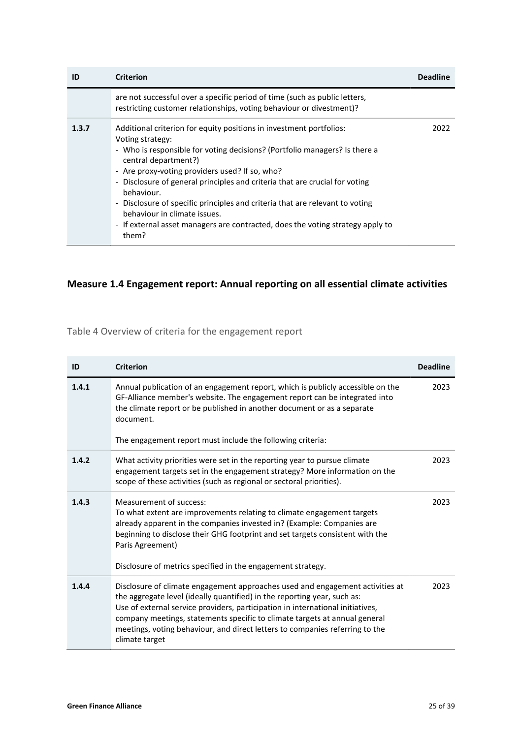| ID    | <b>Criterion</b>                                                                                                                                                                                                                                                                                                                                                                                                                                                                                                                                                                                            | Deadline |
|-------|-------------------------------------------------------------------------------------------------------------------------------------------------------------------------------------------------------------------------------------------------------------------------------------------------------------------------------------------------------------------------------------------------------------------------------------------------------------------------------------------------------------------------------------------------------------------------------------------------------------|----------|
|       | are not successful over a specific period of time (such as public letters,<br>restricting customer relationships, voting behaviour or divestment)?                                                                                                                                                                                                                                                                                                                                                                                                                                                          |          |
| 1.3.7 | Additional criterion for equity positions in investment portfolios:<br>Voting strategy:<br>- Who is responsible for voting decisions? (Portfolio managers? Is there a<br>central department?)<br>- Are proxy-voting providers used? If so, who?<br>Disclosure of general principles and criteria that are crucial for voting<br>$\overline{\phantom{a}}$<br>behaviour.<br>Disclosure of specific principles and criteria that are relevant to voting<br>$\overline{\phantom{a}}$<br>behaviour in climate issues.<br>- If external asset managers are contracted, does the voting strategy apply to<br>them? | 2022.    |

### <span id="page-24-0"></span>**Measure 1.4 Engagement report: Annual reporting on all essential climate activities**

Table 4 Overview of criteria for the engagement report

| ID    | <b>Criterion</b>                                                                                                                                                                                                                                                                                                                                                                                                            | <b>Deadline</b> |
|-------|-----------------------------------------------------------------------------------------------------------------------------------------------------------------------------------------------------------------------------------------------------------------------------------------------------------------------------------------------------------------------------------------------------------------------------|-----------------|
| 1.4.1 | Annual publication of an engagement report, which is publicly accessible on the<br>GF-Alliance member's website. The engagement report can be integrated into<br>the climate report or be published in another document or as a separate<br>document.<br>The engagement report must include the following criteria:                                                                                                         | 2023            |
| 1.4.2 | What activity priorities were set in the reporting year to pursue climate<br>engagement targets set in the engagement strategy? More information on the<br>scope of these activities (such as regional or sectoral priorities).                                                                                                                                                                                             | 2023            |
| 1.4.3 | Measurement of success:<br>To what extent are improvements relating to climate engagement targets<br>already apparent in the companies invested in? (Example: Companies are<br>beginning to disclose their GHG footprint and set targets consistent with the<br>Paris Agreement)<br>Disclosure of metrics specified in the engagement strategy.                                                                             | 2023            |
| 1.4.4 | Disclosure of climate engagement approaches used and engagement activities at<br>the aggregate level (ideally quantified) in the reporting year, such as:<br>Use of external service providers, participation in international initiatives,<br>company meetings, statements specific to climate targets at annual general<br>meetings, voting behaviour, and direct letters to companies referring to the<br>climate target | 2023            |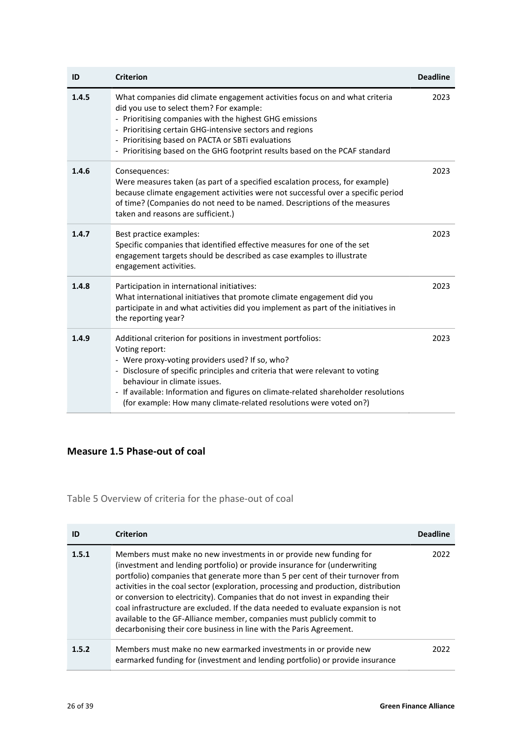| ID    | <b>Criterion</b>                                                                                                                                                                                                                                                                                                                                                                                                                         | <b>Deadline</b> |
|-------|------------------------------------------------------------------------------------------------------------------------------------------------------------------------------------------------------------------------------------------------------------------------------------------------------------------------------------------------------------------------------------------------------------------------------------------|-----------------|
| 1.4.5 | What companies did climate engagement activities focus on and what criteria<br>did you use to select them? For example:<br>- Prioritising companies with the highest GHG emissions<br>Prioritising certain GHG-intensive sectors and regions<br>$\overline{\phantom{a}}$<br>Prioritising based on PACTA or SBTi evaluations<br>$\overline{\phantom{0}}$<br>- Prioritising based on the GHG footprint results based on the PCAF standard  | 2023            |
| 1.4.6 | Consequences:<br>Were measures taken (as part of a specified escalation process, for example)<br>because climate engagement activities were not successful over a specific period<br>of time? (Companies do not need to be named. Descriptions of the measures<br>taken and reasons are sufficient.)                                                                                                                                     | 2023            |
| 1.4.7 | Best practice examples:<br>Specific companies that identified effective measures for one of the set<br>engagement targets should be described as case examples to illustrate<br>engagement activities.                                                                                                                                                                                                                                   | 2023            |
| 1.4.8 | Participation in international initiatives:<br>What international initiatives that promote climate engagement did you<br>participate in and what activities did you implement as part of the initiatives in<br>the reporting year?                                                                                                                                                                                                       | 2023            |
| 1.4.9 | Additional criterion for positions in investment portfolios:<br>Voting report:<br>- Were proxy-voting providers used? If so, who?<br>- Disclosure of specific principles and criteria that were relevant to voting<br>behaviour in climate issues.<br>If available: Information and figures on climate-related shareholder resolutions<br>$\overline{\phantom{a}}$<br>(for example: How many climate-related resolutions were voted on?) | 2023            |

### <span id="page-25-0"></span>**Measure 1.5 Phase-out of coal**

Table 5 Overview of criteria for the phase-out of coal

| ID    | <b>Criterion</b>                                                                                                                                                                                                                                                                                                                                                                                                                                                                                                                                                                                                                                 | <b>Deadline</b> |
|-------|--------------------------------------------------------------------------------------------------------------------------------------------------------------------------------------------------------------------------------------------------------------------------------------------------------------------------------------------------------------------------------------------------------------------------------------------------------------------------------------------------------------------------------------------------------------------------------------------------------------------------------------------------|-----------------|
| 1.5.1 | Members must make no new investments in or provide new funding for<br>(investment and lending portfolio) or provide insurance for (underwriting<br>portfolio) companies that generate more than 5 per cent of their turnover from<br>activities in the coal sector (exploration, processing and production, distribution<br>or conversion to electricity). Companies that do not invest in expanding their<br>coal infrastructure are excluded. If the data needed to evaluate expansion is not<br>available to the GF-Alliance member, companies must publicly commit to<br>decarbonising their core business in line with the Paris Agreement. | 2022            |
| 1.5.2 | Members must make no new earmarked investments in or provide new<br>earmarked funding for (investment and lending portfolio) or provide insurance                                                                                                                                                                                                                                                                                                                                                                                                                                                                                                | 2022            |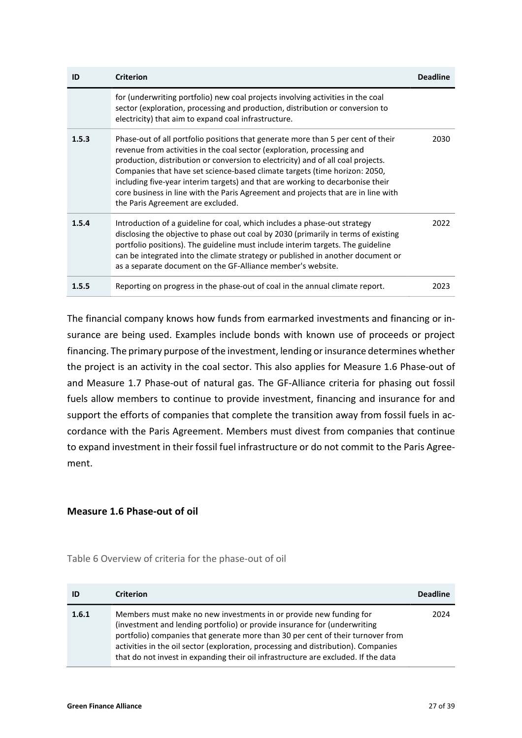| ID    | <b>Criterion</b>                                                                                                                                                                                                                                                                                                                                                                                                                                                                                                                          | <b>Deadline</b> |
|-------|-------------------------------------------------------------------------------------------------------------------------------------------------------------------------------------------------------------------------------------------------------------------------------------------------------------------------------------------------------------------------------------------------------------------------------------------------------------------------------------------------------------------------------------------|-----------------|
|       | for (underwriting portfolio) new coal projects involving activities in the coal<br>sector (exploration, processing and production, distribution or conversion to<br>electricity) that aim to expand coal infrastructure.                                                                                                                                                                                                                                                                                                                  |                 |
| 1.5.3 | Phase-out of all portfolio positions that generate more than 5 per cent of their<br>revenue from activities in the coal sector (exploration, processing and<br>production, distribution or conversion to electricity) and of all coal projects.<br>Companies that have set science-based climate targets (time horizon: 2050,<br>including five-year interim targets) and that are working to decarbonise their<br>core business in line with the Paris Agreement and projects that are in line with<br>the Paris Agreement are excluded. | 2030            |
| 1.5.4 | Introduction of a guideline for coal, which includes a phase-out strategy<br>disclosing the objective to phase out coal by 2030 (primarily in terms of existing<br>portfolio positions). The guideline must include interim targets. The guideline<br>can be integrated into the climate strategy or published in another document or<br>as a separate document on the GF-Alliance member's website.                                                                                                                                      | 2022            |
| 1.5.5 | Reporting on progress in the phase-out of coal in the annual climate report.                                                                                                                                                                                                                                                                                                                                                                                                                                                              | 2023            |

The financial company knows how funds from earmarked investments and financing or insurance are being used. Examples include bonds with known use of proceeds or project financing. The primary purpose of the investment, lending or insurance determines whether the project is an activity in the coal sector. This also applies for [Measure 1.6 Phase-out of](#page-26-0)  and [Measure 1.7 Phase-out of natural gas.](#page-27-0) The GF-Alliance criteria for phasing out fossil fuels allow members to continue to provide investment, financing and insurance for and support the efforts of companies that complete the transition away from fossil fuels in accordance with the Paris Agreement. Members must divest from companies that continue to expand investment in their fossil fuel infrastructure or do not commit to the Paris Agreement.

### <span id="page-26-1"></span><span id="page-26-0"></span>**Measure 1.6 Phase-out of oil**

| Table 6 Overview of criteria for the phase-out of oil |  |  |  |  |
|-------------------------------------------------------|--|--|--|--|
|-------------------------------------------------------|--|--|--|--|

| ID    | <b>Criterion</b>                                                                                                                                                                                                                                                                                                                                                                                               | <b>Deadline</b> |
|-------|----------------------------------------------------------------------------------------------------------------------------------------------------------------------------------------------------------------------------------------------------------------------------------------------------------------------------------------------------------------------------------------------------------------|-----------------|
| 1.6.1 | Members must make no new investments in or provide new funding for<br>(investment and lending portfolio) or provide insurance for (underwriting<br>portfolio) companies that generate more than 30 per cent of their turnover from<br>activities in the oil sector (exploration, processing and distribution). Companies<br>that do not invest in expanding their oil infrastructure are excluded. If the data | 2024            |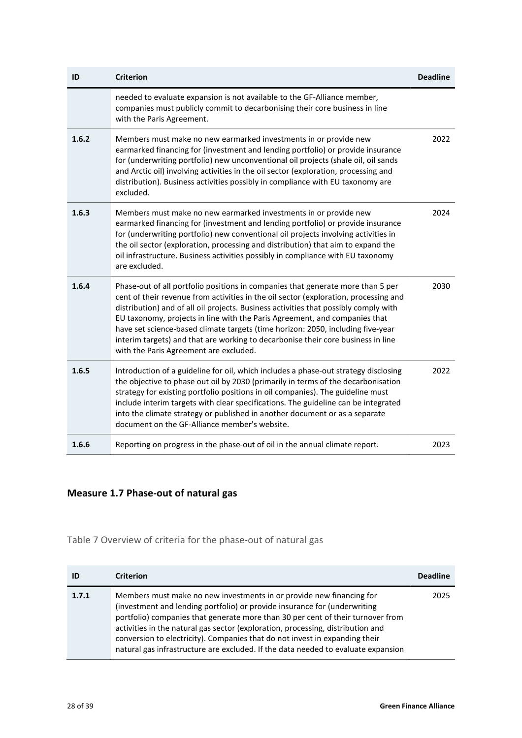| ID    | <b>Criterion</b>                                                                                                                                                                                                                                                                                                                                                                                                                                                                                                                                               | <b>Deadline</b> |
|-------|----------------------------------------------------------------------------------------------------------------------------------------------------------------------------------------------------------------------------------------------------------------------------------------------------------------------------------------------------------------------------------------------------------------------------------------------------------------------------------------------------------------------------------------------------------------|-----------------|
|       | needed to evaluate expansion is not available to the GF-Alliance member,<br>companies must publicly commit to decarbonising their core business in line<br>with the Paris Agreement.                                                                                                                                                                                                                                                                                                                                                                           |                 |
| 1.6.2 | Members must make no new earmarked investments in or provide new<br>earmarked financing for (investment and lending portfolio) or provide insurance<br>for (underwriting portfolio) new unconventional oil projects (shale oil, oil sands<br>and Arctic oil) involving activities in the oil sector (exploration, processing and<br>distribution). Business activities possibly in compliance with EU taxonomy are<br>excluded.                                                                                                                                | 2022            |
| 1.6.3 | Members must make no new earmarked investments in or provide new<br>earmarked financing for (investment and lending portfolio) or provide insurance<br>for (underwriting portfolio) new conventional oil projects involving activities in<br>the oil sector (exploration, processing and distribution) that aim to expand the<br>oil infrastructure. Business activities possibly in compliance with EU taxonomy<br>are excluded.                                                                                                                              | 2024            |
| 1.6.4 | Phase-out of all portfolio positions in companies that generate more than 5 per<br>cent of their revenue from activities in the oil sector (exploration, processing and<br>distribution) and of all oil projects. Business activities that possibly comply with<br>EU taxonomy, projects in line with the Paris Agreement, and companies that<br>have set science-based climate targets (time horizon: 2050, including five-year<br>interim targets) and that are working to decarbonise their core business in line<br>with the Paris Agreement are excluded. | 2030            |
| 1.6.5 | Introduction of a guideline for oil, which includes a phase-out strategy disclosing<br>the objective to phase out oil by 2030 (primarily in terms of the decarbonisation<br>strategy for existing portfolio positions in oil companies). The guideline must<br>include interim targets with clear specifications. The guideline can be integrated<br>into the climate strategy or published in another document or as a separate<br>document on the GF-Alliance member's website.                                                                              | 2022            |
| 1.6.6 | Reporting on progress in the phase-out of oil in the annual climate report.                                                                                                                                                                                                                                                                                                                                                                                                                                                                                    | 2023            |

### <span id="page-27-1"></span><span id="page-27-0"></span>**Measure 1.7 Phase-out of natural gas**

### Table 7 Overview of criteria for the phase-out of natural gas

| ID    | <b>Criterion</b>                                                                                                                                                                                                                                                                                                                                                                                                                                                                            | <b>Deadline</b> |
|-------|---------------------------------------------------------------------------------------------------------------------------------------------------------------------------------------------------------------------------------------------------------------------------------------------------------------------------------------------------------------------------------------------------------------------------------------------------------------------------------------------|-----------------|
| 1.7.1 | Members must make no new investments in or provide new financing for<br>(investment and lending portfolio) or provide insurance for (underwriting<br>portfolio) companies that generate more than 30 per cent of their turnover from<br>activities in the natural gas sector (exploration, processing, distribution and<br>conversion to electricity). Companies that do not invest in expanding their<br>natural gas infrastructure are excluded. If the data needed to evaluate expansion | 2025            |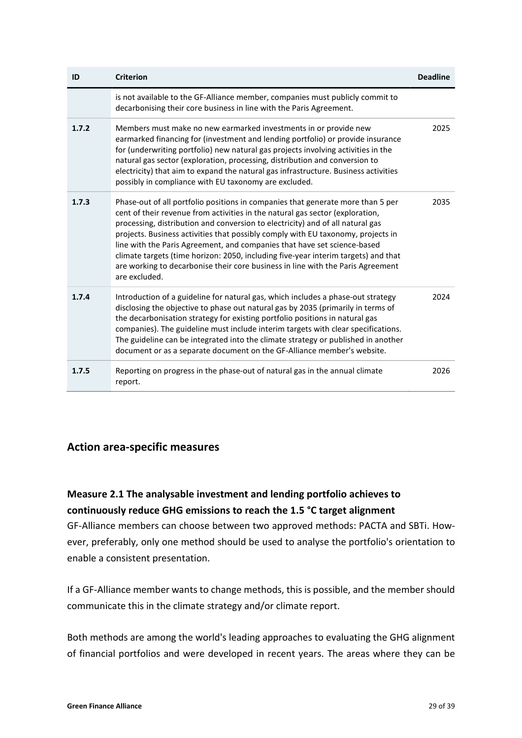| ID    | <b>Criterion</b>                                                                                                                                                                                                                                                                                                                                                                                                                                                                                                                                                                                             | <b>Deadline</b> |
|-------|--------------------------------------------------------------------------------------------------------------------------------------------------------------------------------------------------------------------------------------------------------------------------------------------------------------------------------------------------------------------------------------------------------------------------------------------------------------------------------------------------------------------------------------------------------------------------------------------------------------|-----------------|
|       | is not available to the GF-Alliance member, companies must publicly commit to<br>decarbonising their core business in line with the Paris Agreement.                                                                                                                                                                                                                                                                                                                                                                                                                                                         |                 |
| 1.7.2 | Members must make no new earmarked investments in or provide new<br>earmarked financing for (investment and lending portfolio) or provide insurance<br>for (underwriting portfolio) new natural gas projects involving activities in the<br>natural gas sector (exploration, processing, distribution and conversion to<br>electricity) that aim to expand the natural gas infrastructure. Business activities<br>possibly in compliance with EU taxonomy are excluded.                                                                                                                                      | 2025            |
| 1.7.3 | Phase-out of all portfolio positions in companies that generate more than 5 per<br>cent of their revenue from activities in the natural gas sector (exploration,<br>processing, distribution and conversion to electricity) and of all natural gas<br>projects. Business activities that possibly comply with EU taxonomy, projects in<br>line with the Paris Agreement, and companies that have set science-based<br>climate targets (time horizon: 2050, including five-year interim targets) and that<br>are working to decarbonise their core business in line with the Paris Agreement<br>are excluded. | 2035            |
| 1.7.4 | Introduction of a guideline for natural gas, which includes a phase-out strategy<br>disclosing the objective to phase out natural gas by 2035 (primarily in terms of<br>the decarbonisation strategy for existing portfolio positions in natural gas<br>companies). The guideline must include interim targets with clear specifications.<br>The guideline can be integrated into the climate strategy or published in another<br>document or as a separate document on the GF-Alliance member's website.                                                                                                    | 2024            |
| 1.7.5 | Reporting on progress in the phase-out of natural gas in the annual climate<br>report.                                                                                                                                                                                                                                                                                                                                                                                                                                                                                                                       | 2026            |

### <span id="page-28-0"></span>**Action area-specific measures**

**Measure 2.1 The analysable investment and lending portfolio achieves to continuously reduce GHG emissions to reach the 1.5 °C target alignment**

GF-Alliance members can choose between two approved methods: PACTA and SBTi. However, preferably, only one method should be used to analyse the portfolio's orientation to enable a consistent presentation.

If a GF-Alliance member wants to change methods, this is possible, and the member should communicate this in the climate strategy and/or climate report.

Both methods are among the world's leading approaches to evaluating the GHG alignment of financial portfolios and were developed in recent years. The areas where they can be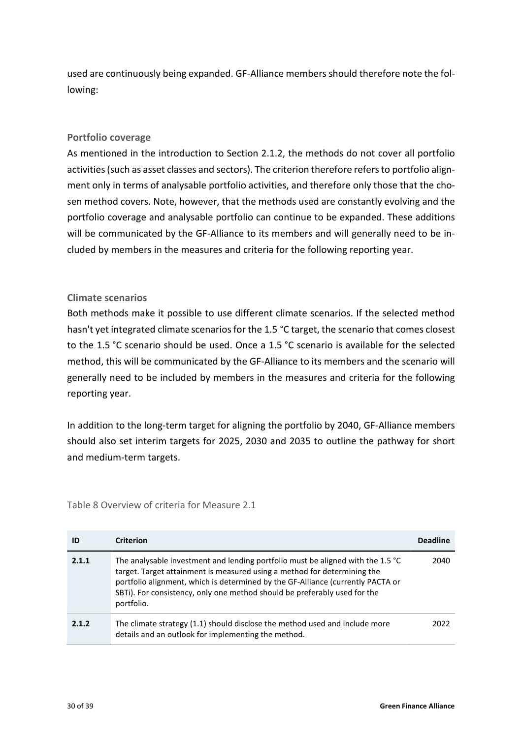used are continuously being expanded. GF-Alliance members should therefore note the following:

### **Portfolio coverage**

As mentioned in the introduction to Section [2.1.2,](#page-16-0) the methods do not cover all portfolio activities (such as asset classes and sectors). The criterion therefore refers to portfolio alignment only in terms of analysable portfolio activities, and therefore only those that the chosen method covers. Note, however, that the methods used are constantly evolving and the portfolio coverage and analysable portfolio can continue to be expanded. These additions will be communicated by the GF-Alliance to its members and will generally need to be included by members in the measures and criteria for the following reporting year.

### **Climate scenarios**

Both methods make it possible to use different climate scenarios. If the selected method hasn't yet integrated climate scenarios for the 1.5 °C target, the scenario that comes closest to the 1.5 °C scenario should be used. Once a 1.5 °C scenario is available for the selected method, this will be communicated by the GF-Alliance to its members and the scenario will generally need to be included by members in the measures and criteria for the following reporting year.

In addition to the long-term target for aligning the portfolio by 2040, GF-Alliance members should also set interim targets for 2025, 2030 and 2035 to outline the pathway for short and medium-term targets.

**ID Criterion Deadline 2.1.1** The analysable investment and lending portfolio must be aligned with the 1.5 °C target. Target attainment is measured using a method for determining the portfolio alignment, which is determined by the GF-Alliance (currently PACTA or SBTi). For consistency, only one method should be preferably used for the portfolio. 2040 **2.1.2** The climate strategy (1.1) should disclose the method used and include more details and an outlook for implementing the method. 2022

<span id="page-29-0"></span>Table 8 Overview of criteria for Measure 2.1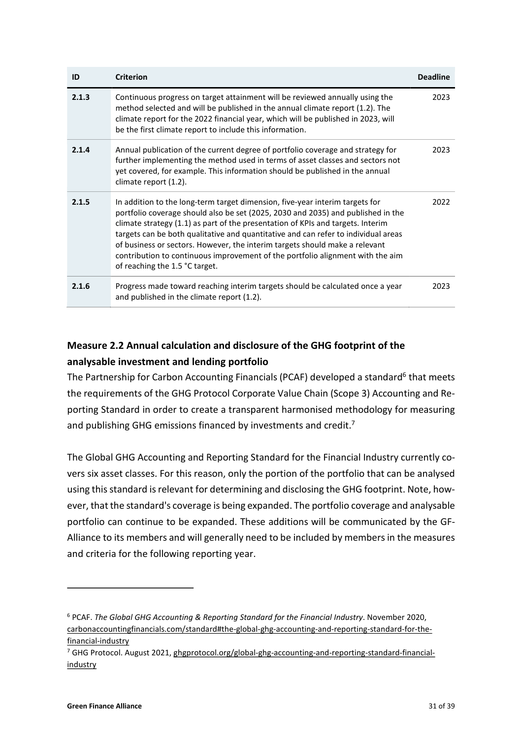| ID    | <b>Criterion</b>                                                                                                                                                                                                                                                                                                                                                                                                                                                                                                                             | <b>Deadline</b> |
|-------|----------------------------------------------------------------------------------------------------------------------------------------------------------------------------------------------------------------------------------------------------------------------------------------------------------------------------------------------------------------------------------------------------------------------------------------------------------------------------------------------------------------------------------------------|-----------------|
| 2.1.3 | Continuous progress on target attainment will be reviewed annually using the<br>method selected and will be published in the annual climate report (1.2). The<br>climate report for the 2022 financial year, which will be published in 2023, will<br>be the first climate report to include this information.                                                                                                                                                                                                                               | 2023            |
| 2.1.4 | Annual publication of the current degree of portfolio coverage and strategy for<br>further implementing the method used in terms of asset classes and sectors not<br>yet covered, for example. This information should be published in the annual<br>climate report (1.2).                                                                                                                                                                                                                                                                   | 2023            |
| 2.1.5 | In addition to the long-term target dimension, five-year interim targets for<br>portfolio coverage should also be set (2025, 2030 and 2035) and published in the<br>climate strategy (1.1) as part of the presentation of KPIs and targets. Interim<br>targets can be both qualitative and quantitative and can refer to individual areas<br>of business or sectors. However, the interim targets should make a relevant<br>contribution to continuous improvement of the portfolio alignment with the aim<br>of reaching the 1.5 °C target. | 2022            |
| 2.1.6 | Progress made toward reaching interim targets should be calculated once a year<br>and published in the climate report (1.2).                                                                                                                                                                                                                                                                                                                                                                                                                 | 2023            |

## **Measure 2.2 Annual calculation and disclosure of the GHG footprint of the analysable investment and lending portfolio**

The Partnership for Carbon Accounting Financials (PCAF) developed a standard<sup>[6](#page-30-0)</sup> that meets the requirements of the GHG Protocol Corporate Value Chain (Scope 3) Accounting and Reporting Standard in order to create a transparent harmonised methodology for measuring and publishing GHG emissions financed by investments and credit.<sup>[7](#page-30-1)</sup>

The Global GHG Accounting and Reporting Standard for the Financial Industry currently covers six asset classes. For this reason, only the portion of the portfolio that can be analysed using this standard is relevant for determining and disclosing the GHG footprint. Note, however, that the standard's coverage is being expanded. The portfolio coverage and analysable portfolio can continue to be expanded. These additions will be communicated by the GF-Alliance to its members and will generally need to be included by members in the measures and criteria for the following reporting year.

<span id="page-30-3"></span><span id="page-30-2"></span> $\overline{a}$ 

<span id="page-30-0"></span>[<sup>6</sup>](#page-30-2) PCAF. *The Global GHG Accounting & Reporting Standard for the Financial Industry*. November 2020, [carbonaccountingfinancials.com/standard#the-global-ghg-accounting-and-reporting-standard-for-the](https://carbonaccountingfinancials.com/standard#the-global-ghg-accounting-and-reporting-standard-for-the-financial-industry)[financial-industry](https://carbonaccountingfinancials.com/standard#the-global-ghg-accounting-and-reporting-standard-for-the-financial-industry)

<span id="page-30-1"></span><sup>&</sup>lt;sup>[7](#page-30-3)</sup> GHG Protocol. August 2021, [ghgprotocol.org/global-ghg-accounting-and-reporting-standard-financial](https://ghgprotocol.org/global-ghg-accounting-and-reporting-standard-financial-industry)[industry](https://ghgprotocol.org/global-ghg-accounting-and-reporting-standard-financial-industry)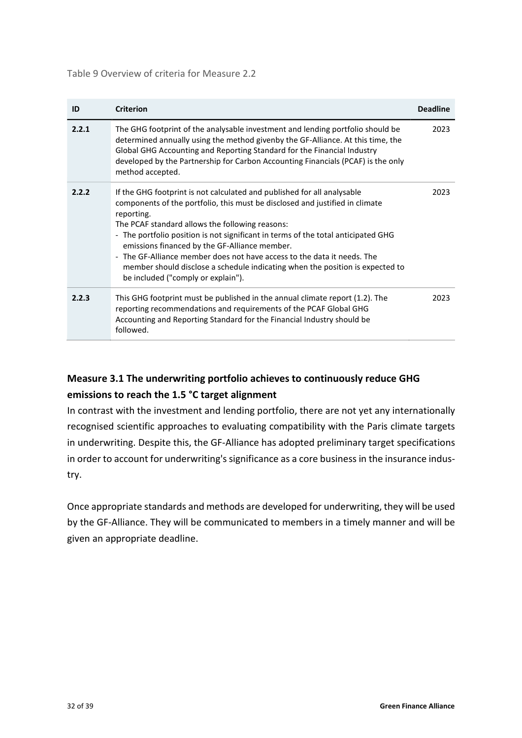<span id="page-31-0"></span>Table 9 Overview of criteria for Measure 2.2

| ID    | <b>Criterion</b>                                                                                                                                                                                                                                                                                                                                                                                                                                                                                                                                                 | <b>Deadline</b> |
|-------|------------------------------------------------------------------------------------------------------------------------------------------------------------------------------------------------------------------------------------------------------------------------------------------------------------------------------------------------------------------------------------------------------------------------------------------------------------------------------------------------------------------------------------------------------------------|-----------------|
| 2.2.1 | The GHG footprint of the analysable investment and lending portfolio should be<br>determined annually using the method givenby the GF-Alliance. At this time, the<br>Global GHG Accounting and Reporting Standard for the Financial Industry<br>developed by the Partnership for Carbon Accounting Financials (PCAF) is the only<br>method accepted.                                                                                                                                                                                                             | 2023            |
| 2.2.2 | If the GHG footprint is not calculated and published for all analysable<br>components of the portfolio, this must be disclosed and justified in climate<br>reporting.<br>The PCAF standard allows the following reasons:<br>- The portfolio position is not significant in terms of the total anticipated GHG<br>emissions financed by the GF-Alliance member.<br>- The GF-Alliance member does not have access to the data it needs. The<br>member should disclose a schedule indicating when the position is expected to<br>be included ("comply or explain"). | 2023            |
| 2.2.3 | This GHG footprint must be published in the annual climate report (1.2). The<br>reporting recommendations and requirements of the PCAF Global GHG<br>Accounting and Reporting Standard for the Financial Industry should be<br>followed.                                                                                                                                                                                                                                                                                                                         | 2023            |

# **Measure 3.1 The underwriting portfolio achieves to continuously reduce GHG emissions to reach the 1.5 °C target alignment**

In contrast with the investment and lending portfolio, there are not yet any internationally recognised scientific approaches to evaluating compatibility with the Paris climate targets in underwriting. Despite this, the GF-Alliance has adopted preliminary target specifications in order to account for underwriting's significance as a core business in the insurance industry.

Once appropriate standards and methods are developed for underwriting, they will be used by the GF-Alliance. They will be communicated to members in a timely manner and will be given an appropriate deadline.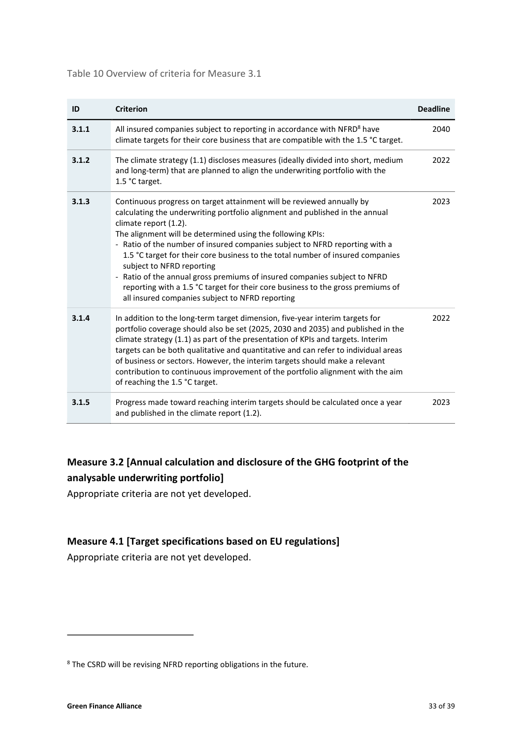<span id="page-32-2"></span>Table 10 Overview of criteria for Measure 3.1

<span id="page-32-1"></span>

| ID    | <b>Criterion</b>                                                                                                                                                                                                                                                                                                                                                                                                                                                                                                                                                                                                                                              | <b>Deadline</b> |
|-------|---------------------------------------------------------------------------------------------------------------------------------------------------------------------------------------------------------------------------------------------------------------------------------------------------------------------------------------------------------------------------------------------------------------------------------------------------------------------------------------------------------------------------------------------------------------------------------------------------------------------------------------------------------------|-----------------|
| 3.1.1 | All insured companies subject to reporting in accordance with NFRD <sup>8</sup> have<br>climate targets for their core business that are compatible with the 1.5 °C target.                                                                                                                                                                                                                                                                                                                                                                                                                                                                                   | 2040            |
| 3.1.2 | The climate strategy (1.1) discloses measures (ideally divided into short, medium<br>and long-term) that are planned to align the underwriting portfolio with the<br>1.5 °C target.                                                                                                                                                                                                                                                                                                                                                                                                                                                                           | 2022            |
| 3.1.3 | Continuous progress on target attainment will be reviewed annually by<br>calculating the underwriting portfolio alignment and published in the annual<br>climate report (1.2).<br>The alignment will be determined using the following KPIs:<br>- Ratio of the number of insured companies subject to NFRD reporting with a<br>1.5 °C target for their core business to the total number of insured companies<br>subject to NFRD reporting<br>- Ratio of the annual gross premiums of insured companies subject to NFRD<br>reporting with a 1.5 °C target for their core business to the gross premiums of<br>all insured companies subject to NFRD reporting | 2023            |
| 3.1.4 | In addition to the long-term target dimension, five-year interim targets for<br>portfolio coverage should also be set (2025, 2030 and 2035) and published in the<br>climate strategy (1.1) as part of the presentation of KPIs and targets. Interim<br>targets can be both qualitative and quantitative and can refer to individual areas<br>of business or sectors. However, the interim targets should make a relevant<br>contribution to continuous improvement of the portfolio alignment with the aim<br>of reaching the 1.5 °C target.                                                                                                                  | 2022            |
| 3.1.5 | Progress made toward reaching interim targets should be calculated once a year<br>and published in the climate report (1.2).                                                                                                                                                                                                                                                                                                                                                                                                                                                                                                                                  | 2023            |

## **Measure 3.2 [Annual calculation and disclosure of the GHG footprint of the analysable underwriting portfolio]**

Appropriate criteria are not yet developed.

### **Measure 4.1 [Target specifications based on EU regulations]**

Appropriate criteria are not yet developed.

 $\overline{a}$ 

<span id="page-32-0"></span><sup>&</sup>lt;sup>[8](#page-32-1)</sup> The CSRD will be revising NFRD reporting obligations in the future.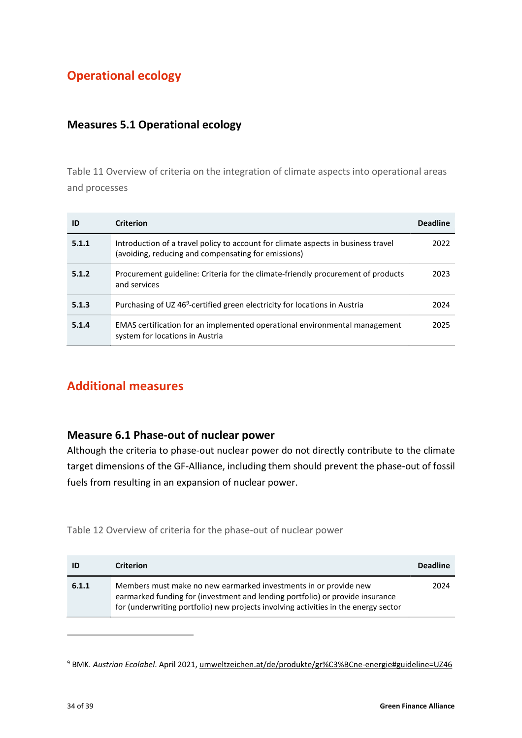# <span id="page-33-0"></span>**Operational ecology**

### <span id="page-33-6"></span><span id="page-33-1"></span>**Measures 5.1 Operational ecology**

Table 11 Overview of criteria on the integration of climate aspects into operational areas and processes

| ID    | <b>Criterion</b>                                                                                                                         | <b>Deadline</b> |
|-------|------------------------------------------------------------------------------------------------------------------------------------------|-----------------|
| 5.1.1 | Introduction of a travel policy to account for climate aspects in business travel<br>(avoiding, reducing and compensating for emissions) | 2022            |
| 5.1.2 | Procurement guideline: Criteria for the climate-friendly procurement of products<br>and services                                         | 2023            |
| 5.1.3 | Purchasing of UZ 46 <sup>9</sup> -certified green electricity for locations in Austria                                                   | 2024            |
| 5.1.4 | EMAS certification for an implemented operational environmental management<br>system for locations in Austria                            | 2025            |

## <span id="page-33-5"></span><span id="page-33-2"></span>**Additional measures**

### <span id="page-33-3"></span>**Measure 6.1 Phase-out of nuclear power**

 $\overline{a}$ 

Although the criteria to phase-out nuclear power do not directly contribute to the climate target dimensions of the GF-Alliance, including them should prevent the phase-out of fossil fuels from resulting in an expansion of nuclear power.

<span id="page-33-7"></span>Table 12 Overview of criteria for the phase-out of nuclear power

| ID    | <b>Criterion</b>                                                                                                                                                                                                                         | <b>Deadline</b> |
|-------|------------------------------------------------------------------------------------------------------------------------------------------------------------------------------------------------------------------------------------------|-----------------|
| 6.1.1 | Members must make no new earmarked investments in or provide new<br>earmarked funding for (investment and lending portfolio) or provide insurance<br>for (underwriting portfolio) new projects involving activities in the energy sector | 2024            |

<span id="page-33-4"></span>[<sup>9</sup>](#page-33-5) BMK. *Austrian Ecolabel*. April 2021[, umweltzeichen.at/de/produkte/gr%C3%BCne-energie#guideline=UZ46](https://www.umweltzeichen.at/de/produkte/gr%C3%BCne-energie#guideline=UZ46)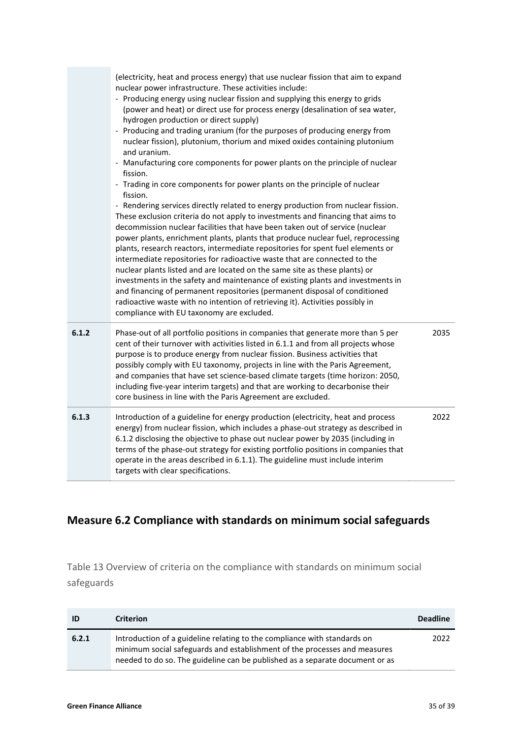|       | (electricity, heat and process energy) that use nuclear fission that aim to expand<br>nuclear power infrastructure. These activities include:<br>- Producing energy using nuclear fission and supplying this energy to grids<br>(power and heat) or direct use for process energy (desalination of sea water,<br>hydrogen production or direct supply)<br>- Producing and trading uranium (for the purposes of producing energy from<br>nuclear fission), plutonium, thorium and mixed oxides containing plutonium<br>and uranium.<br>- Manufacturing core components for power plants on the principle of nuclear<br>fission.<br>- Trading in core components for power plants on the principle of nuclear<br>fission.<br>- Rendering services directly related to energy production from nuclear fission.<br>These exclusion criteria do not apply to investments and financing that aims to<br>decommission nuclear facilities that have been taken out of service (nuclear<br>power plants, enrichment plants, plants that produce nuclear fuel, reprocessing<br>plants, research reactors, intermediate repositories for spent fuel elements or<br>intermediate repositories for radioactive waste that are connected to the<br>nuclear plants listed and are located on the same site as these plants) or<br>investments in the safety and maintenance of existing plants and investments in<br>and financing of permanent repositories (permanent disposal of conditioned<br>radioactive waste with no intention of retrieving it). Activities possibly in<br>compliance with EU taxonomy are excluded. |      |
|-------|----------------------------------------------------------------------------------------------------------------------------------------------------------------------------------------------------------------------------------------------------------------------------------------------------------------------------------------------------------------------------------------------------------------------------------------------------------------------------------------------------------------------------------------------------------------------------------------------------------------------------------------------------------------------------------------------------------------------------------------------------------------------------------------------------------------------------------------------------------------------------------------------------------------------------------------------------------------------------------------------------------------------------------------------------------------------------------------------------------------------------------------------------------------------------------------------------------------------------------------------------------------------------------------------------------------------------------------------------------------------------------------------------------------------------------------------------------------------------------------------------------------------------------------------------------------------------------------------------------------|------|
| 6.1.2 | Phase-out of all portfolio positions in companies that generate more than 5 per<br>cent of their turnover with activities listed in 6.1.1 and from all projects whose<br>purpose is to produce energy from nuclear fission. Business activities that<br>possibly comply with EU taxonomy, projects in line with the Paris Agreement,<br>and companies that have set science-based climate targets (time horizon: 2050,<br>including five-year interim targets) and that are working to decarbonise their<br>core business in line with the Paris Agreement are excluded.                                                                                                                                                                                                                                                                                                                                                                                                                                                                                                                                                                                                                                                                                                                                                                                                                                                                                                                                                                                                                                       | 2035 |
| 6.1.3 | Introduction of a guideline for energy production (electricity, heat and process<br>energy) from nuclear fission, which includes a phase-out strategy as described in<br>6.1.2 disclosing the objective to phase out nuclear power by 2035 (including in<br>terms of the phase-out strategy for existing portfolio positions in companies that<br>operate in the areas described in 6.1.1). The guideline must include interim<br>targets with clear specifications.                                                                                                                                                                                                                                                                                                                                                                                                                                                                                                                                                                                                                                                                                                                                                                                                                                                                                                                                                                                                                                                                                                                                           | 2022 |

# <span id="page-34-1"></span><span id="page-34-0"></span>**Measure 6.2 Compliance with standards on minimum social safeguards**

Table 13 Overview of criteria on the compliance with standards on minimum social safeguards

| ID    | <b>Criterion</b>                                                                                                                                                                                                                      | <b>Deadline</b> |
|-------|---------------------------------------------------------------------------------------------------------------------------------------------------------------------------------------------------------------------------------------|-----------------|
| 6.2.1 | Introduction of a guideline relating to the compliance with standards on<br>minimum social safeguards and establishment of the processes and measures<br>needed to do so. The guideline can be published as a separate document or as | 2022            |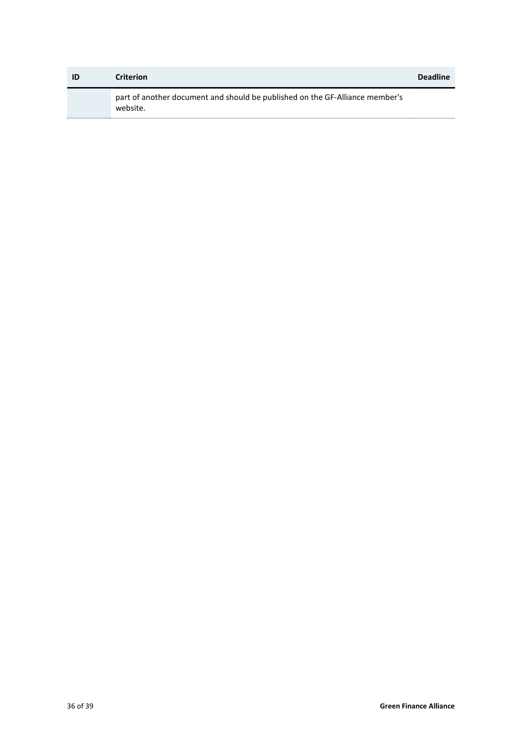| ID | <b>Criterion</b>                                                                         | <b>Deadline</b> |
|----|------------------------------------------------------------------------------------------|-----------------|
|    | part of another document and should be published on the GF-Alliance member's<br>website. |                 |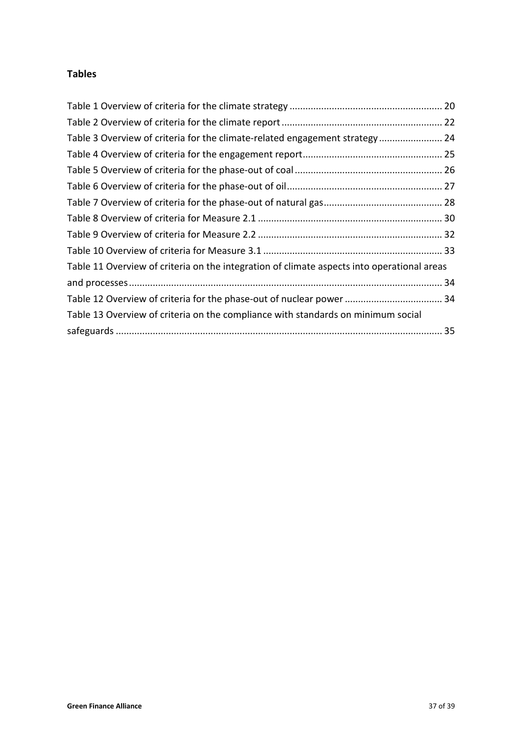### <span id="page-36-0"></span>**Tables**

| Table 3 Overview of criteria for the climate-related engagement strategy 24                |  |
|--------------------------------------------------------------------------------------------|--|
|                                                                                            |  |
|                                                                                            |  |
|                                                                                            |  |
|                                                                                            |  |
|                                                                                            |  |
|                                                                                            |  |
|                                                                                            |  |
| Table 11 Overview of criteria on the integration of climate aspects into operational areas |  |
|                                                                                            |  |
| Table 12 Overview of criteria for the phase-out of nuclear power  34                       |  |
| Table 13 Overview of criteria on the compliance with standards on minimum social           |  |
|                                                                                            |  |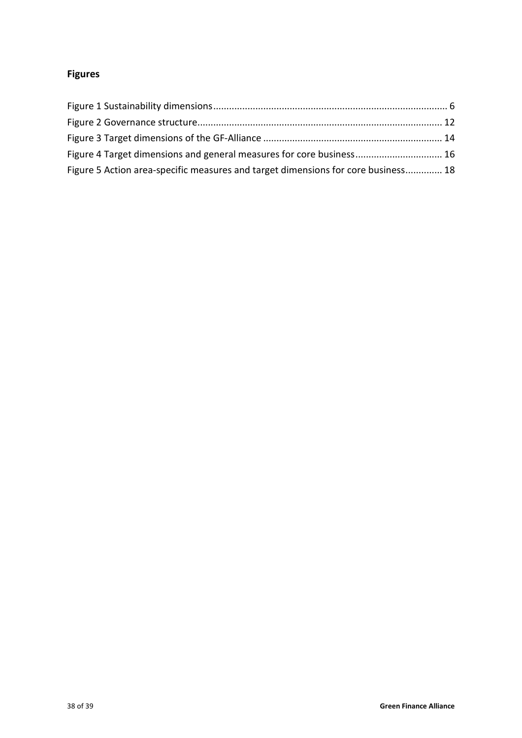# <span id="page-37-0"></span>**Figures**

| Figure 4 Target dimensions and general measures for core business 16              |  |
|-----------------------------------------------------------------------------------|--|
| Figure 5 Action area-specific measures and target dimensions for core business 18 |  |